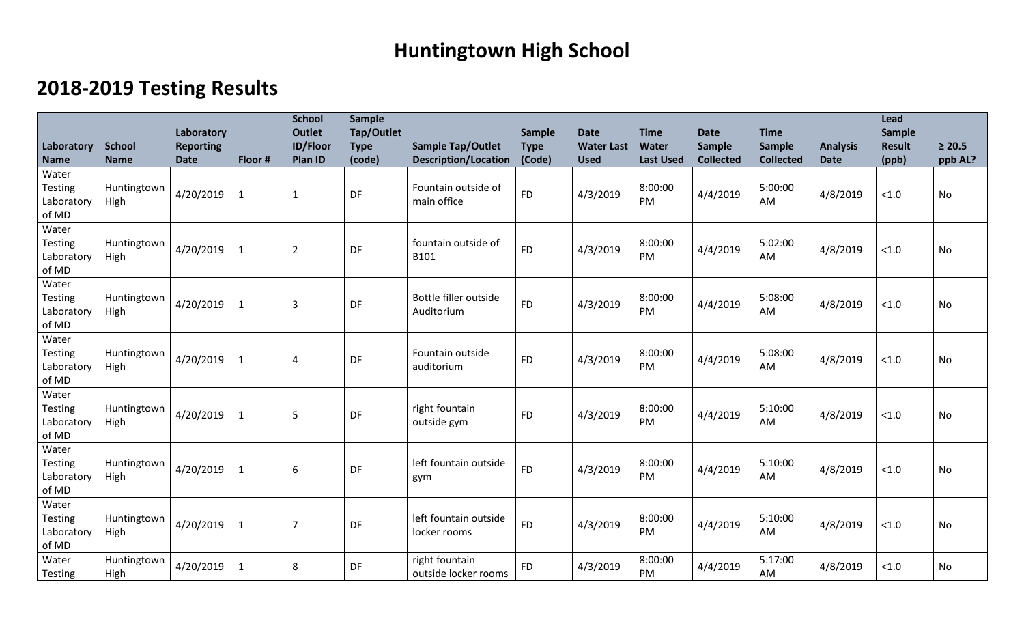## **Huntingtown High School**

## **2018-2019 Testing Results**

| Laboratory                                     | <b>School</b>       | Laboratory<br><b>Reporting</b> |              | <b>School</b><br><b>Outlet</b><br><b>ID/Floor</b> | <b>Sample</b><br>Tap/Outlet<br><b>Type</b> | <b>Sample Tap/Outlet</b>               | Sample<br><b>Type</b> | <b>Date</b><br><b>Water Last</b> | <b>Time</b><br><b>Water</b> | <b>Date</b><br><b>Sample</b> | <b>Time</b><br>Sample | <b>Analysis</b> | Lead<br>Sample<br><b>Result</b> | $\geq 20.5$ |
|------------------------------------------------|---------------------|--------------------------------|--------------|---------------------------------------------------|--------------------------------------------|----------------------------------------|-----------------------|----------------------------------|-----------------------------|------------------------------|-----------------------|-----------------|---------------------------------|-------------|
| <b>Name</b>                                    | <b>Name</b>         | <b>Date</b>                    | Floor #      | Plan ID                                           | (code)                                     | <b>Description/Location</b>            | (Code)                | <b>Used</b>                      | <b>Last Used</b>            | <b>Collected</b>             | <b>Collected</b>      | <b>Date</b>     | (ppb)                           | ppb AL?     |
| Water<br><b>Testing</b><br>Laboratory<br>of MD | Huntingtown<br>High | 4/20/2019                      | 1            | $\mathbf{1}$                                      | DF                                         | Fountain outside of<br>main office     | <b>FD</b>             | 4/3/2019                         | 8:00:00<br>PM               | 4/4/2019                     | 5:00:00<br>AM         | 4/8/2019        | < 1.0                           | No          |
| Water<br><b>Testing</b><br>Laboratory<br>of MD | Huntingtown<br>High | 4/20/2019                      | 1            | $\overline{2}$                                    | DF                                         | fountain outside of<br>B101            | <b>FD</b>             | 4/3/2019                         | 8:00:00<br>PM               | 4/4/2019                     | 5:02:00<br>AM         | 4/8/2019        | < 1.0                           | No          |
| Water<br><b>Testing</b><br>Laboratory<br>of MD | Huntingtown<br>High | 4/20/2019                      | 1            | $\overline{3}$                                    | DF                                         | Bottle filler outside<br>Auditorium    | <b>FD</b>             | 4/3/2019                         | 8:00:00<br>PM               | 4/4/2019                     | 5:08:00<br>AM         | 4/8/2019        | < 1.0                           | No          |
| Water<br><b>Testing</b><br>Laboratory<br>of MD | Huntingtown<br>High | 4/20/2019                      | $\mathbf{1}$ | 4                                                 | DF                                         | Fountain outside<br>auditorium         | <b>FD</b>             | 4/3/2019                         | 8:00:00<br>PM               | 4/4/2019                     | 5:08:00<br>AM         | 4/8/2019        | < 1.0                           | No          |
| Water<br><b>Testing</b><br>Laboratory<br>of MD | Huntingtown<br>High | 4/20/2019                      | $\mathbf{1}$ | 5                                                 | DF                                         | right fountain<br>outside gym          | <b>FD</b>             | 4/3/2019                         | 8:00:00<br>PM               | 4/4/2019                     | 5:10:00<br>AM         | 4/8/2019        | < 1.0                           | No          |
| Water<br><b>Testing</b><br>Laboratory<br>of MD | Huntingtown<br>High | 4/20/2019                      | $\mathbf{1}$ | 6                                                 | DF                                         | left fountain outside<br>gym           | <b>FD</b>             | 4/3/2019                         | 8:00:00<br><b>PM</b>        | 4/4/2019                     | 5:10:00<br>AM         | 4/8/2019        | < 1.0                           | No          |
| Water<br><b>Testing</b><br>Laboratory<br>of MD | Huntingtown<br>High | 4/20/2019                      | $\mathbf{1}$ | $\overline{7}$                                    | DF                                         | left fountain outside<br>locker rooms  | <b>FD</b>             | 4/3/2019                         | 8:00:00<br>PM               | 4/4/2019                     | 5:10:00<br>AM         | 4/8/2019        | < 1.0                           | No          |
| Water<br>Testing                               | Huntingtown<br>High | 4/20/2019                      | 1            | 8                                                 | DF                                         | right fountain<br>outside locker rooms | <b>FD</b>             | 4/3/2019                         | 8:00:00<br>PM               | 4/4/2019                     | 5:17:00<br>AM         | 4/8/2019        | < 1.0                           | No          |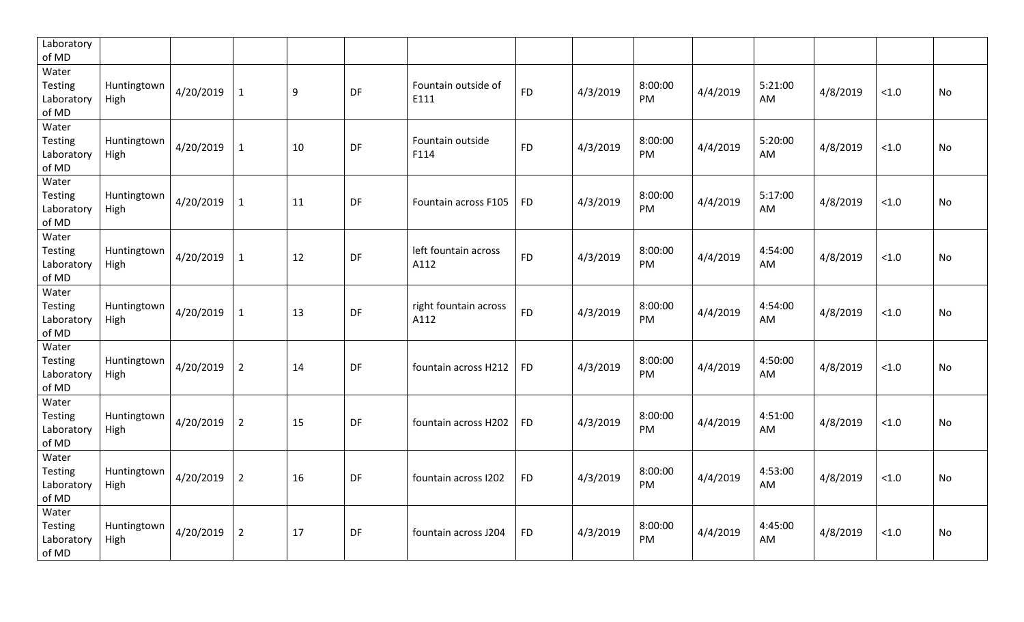| Laboratory<br>of MD                            |                     |           |                |                  |    |                               |           |          |               |          |               |          |       |           |
|------------------------------------------------|---------------------|-----------|----------------|------------------|----|-------------------------------|-----------|----------|---------------|----------|---------------|----------|-------|-----------|
| Water<br>Testing<br>Laboratory<br>of MD        | Huntingtown<br>High | 4/20/2019 | $\mathbf{1}$   | $\boldsymbol{9}$ | DF | Fountain outside of<br>E111   | <b>FD</b> | 4/3/2019 | 8:00:00<br>PM | 4/4/2019 | 5:21:00<br>AM | 4/8/2019 | < 1.0 | No        |
| Water<br>Testing<br>Laboratory<br>of MD        | Huntingtown<br>High | 4/20/2019 | $\mathbf{1}$   | 10               | DF | Fountain outside<br>F114      | <b>FD</b> | 4/3/2019 | 8:00:00<br>PM | 4/4/2019 | 5:20:00<br>AM | 4/8/2019 | < 1.0 | No        |
| Water<br><b>Testing</b><br>Laboratory<br>of MD | Huntingtown<br>High | 4/20/2019 | $\mathbf{1}$   | 11               | DF | Fountain across F105          | <b>FD</b> | 4/3/2019 | 8:00:00<br>PM | 4/4/2019 | 5:17:00<br>AM | 4/8/2019 | < 1.0 | No        |
| Water<br>Testing<br>Laboratory<br>of MD        | Huntingtown<br>High | 4/20/2019 | $\mathbf{1}$   | 12               | DF | left fountain across<br>A112  | <b>FD</b> | 4/3/2019 | 8:00:00<br>PM | 4/4/2019 | 4:54:00<br>AM | 4/8/2019 | < 1.0 | No        |
| Water<br>Testing<br>Laboratory<br>of MD        | Huntingtown<br>High | 4/20/2019 | $\mathbf{1}$   | 13               | DF | right fountain across<br>A112 | <b>FD</b> | 4/3/2019 | 8:00:00<br>PM | 4/4/2019 | 4:54:00<br>AM | 4/8/2019 | < 1.0 | No        |
| Water<br><b>Testing</b><br>Laboratory<br>of MD | Huntingtown<br>High | 4/20/2019 | $\overline{2}$ | 14               | DF | fountain across H212          | <b>FD</b> | 4/3/2019 | 8:00:00<br>PM | 4/4/2019 | 4:50:00<br>AM | 4/8/2019 | < 1.0 | <b>No</b> |
| Water<br><b>Testing</b><br>Laboratory<br>of MD | Huntingtown<br>High | 4/20/2019 | $\overline{2}$ | 15               | DF | fountain across H202          | <b>FD</b> | 4/3/2019 | 8:00:00<br>PM | 4/4/2019 | 4:51:00<br>AM | 4/8/2019 | < 1.0 | No        |
| Water<br>Testing<br>Laboratory<br>of MD        | Huntingtown<br>High | 4/20/2019 | $\overline{2}$ | 16               | DF | fountain across I202          | <b>FD</b> | 4/3/2019 | 8:00:00<br>PM | 4/4/2019 | 4:53:00<br>AM | 4/8/2019 | < 1.0 | No        |
| Water<br><b>Testing</b><br>Laboratory<br>of MD | Huntingtown<br>High | 4/20/2019 | $\overline{2}$ | 17               | DF | fountain across J204          | <b>FD</b> | 4/3/2019 | 8:00:00<br>PM | 4/4/2019 | 4:45:00<br>AM | 4/8/2019 | < 1.0 | No        |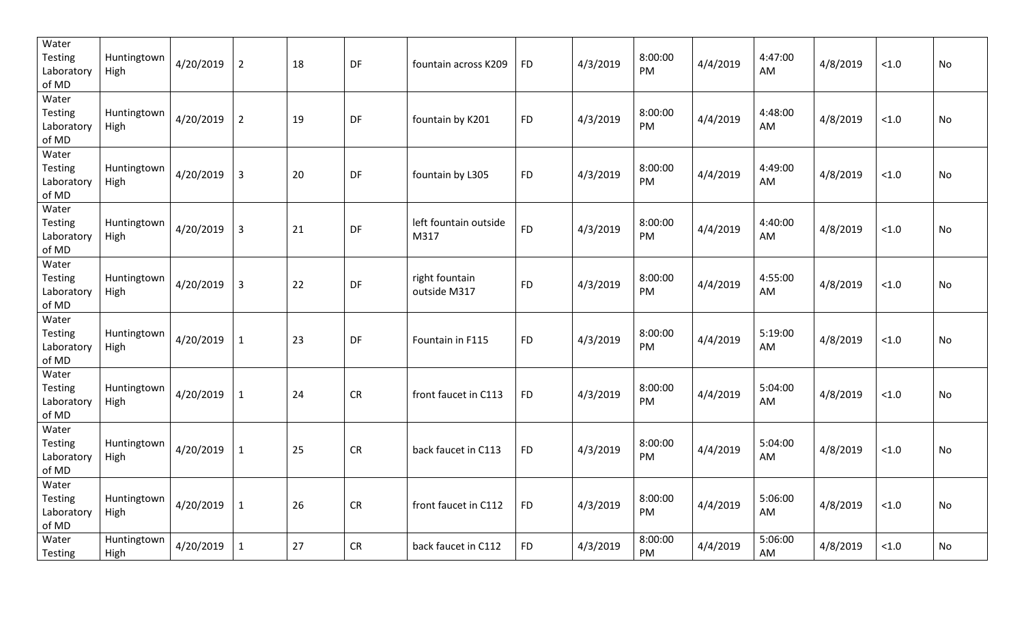| Water<br><b>Testing</b><br>Laboratory<br>of MD | Huntingtown<br>High | 4/20/2019 | $\overline{2}$ | 18 | DF        | fountain across K209           | <b>FD</b> | 4/3/2019 | 8:00:00<br>PM | 4/4/2019 | 4:47:00<br>AM | 4/8/2019 | < 1.0  | No |
|------------------------------------------------|---------------------|-----------|----------------|----|-----------|--------------------------------|-----------|----------|---------------|----------|---------------|----------|--------|----|
| Water<br>Testing<br>Laboratory<br>of MD        | Huntingtown<br>High | 4/20/2019 | $\overline{2}$ | 19 | DF        | fountain by K201               | <b>FD</b> | 4/3/2019 | 8:00:00<br>PM | 4/4/2019 | 4:48:00<br>AM | 4/8/2019 | < 1.0  | No |
| Water<br><b>Testing</b><br>Laboratory<br>of MD | Huntingtown<br>High | 4/20/2019 | 3              | 20 | DF        | fountain by L305               | <b>FD</b> | 4/3/2019 | 8:00:00<br>PM | 4/4/2019 | 4:49:00<br>AM | 4/8/2019 | < 1.0  | No |
| Water<br><b>Testing</b><br>Laboratory<br>of MD | Huntingtown<br>High | 4/20/2019 | $\overline{3}$ | 21 | DF        | left fountain outside<br>M317  | <b>FD</b> | 4/3/2019 | 8:00:00<br>PM | 4/4/2019 | 4:40:00<br>AM | 4/8/2019 | < 1.0  | No |
| Water<br>Testing<br>Laboratory<br>of MD        | Huntingtown<br>High | 4/20/2019 | $\overline{3}$ | 22 | DF        | right fountain<br>outside M317 | <b>FD</b> | 4/3/2019 | 8:00:00<br>PM | 4/4/2019 | 4:55:00<br>AM | 4/8/2019 | < 1.0  | No |
| Water<br>Testing<br>Laboratory<br>of MD        | Huntingtown<br>High | 4/20/2019 | $\mathbf{1}$   | 23 | DF        | Fountain in F115               | <b>FD</b> | 4/3/2019 | 8:00:00<br>PM | 4/4/2019 | 5:19:00<br>AM | 4/8/2019 | < 1.0  | No |
| Water<br><b>Testing</b><br>Laboratory<br>of MD | Huntingtown<br>High | 4/20/2019 | $\mathbf{1}$   | 24 | <b>CR</b> | front faucet in C113           | <b>FD</b> | 4/3/2019 | 8:00:00<br>PM | 4/4/2019 | 5:04:00<br>AM | 4/8/2019 | < 1.0  | No |
| Water<br>Testing<br>Laboratory<br>of MD        | Huntingtown<br>High | 4/20/2019 | $\mathbf{1}$   | 25 | <b>CR</b> | back faucet in C113            | <b>FD</b> | 4/3/2019 | 8:00:00<br>PM | 4/4/2019 | 5:04:00<br>AM | 4/8/2019 | < 1.0  | No |
| Water<br>Testing<br>Laboratory<br>of MD        | Huntingtown<br>High | 4/20/2019 | $\mathbf{1}$   | 26 | <b>CR</b> | front faucet in C112           | <b>FD</b> | 4/3/2019 | 8:00:00<br>PM | 4/4/2019 | 5:06:00<br>AM | 4/8/2019 | < 1.0  | No |
| Water<br>Testing                               | Huntingtown<br>High | 4/20/2019 | $\mathbf{1}$   | 27 | <b>CR</b> | back faucet in C112            | <b>FD</b> | 4/3/2019 | 8:00:00<br>PM | 4/4/2019 | 5:06:00<br>AM | 4/8/2019 | $<1.0$ | No |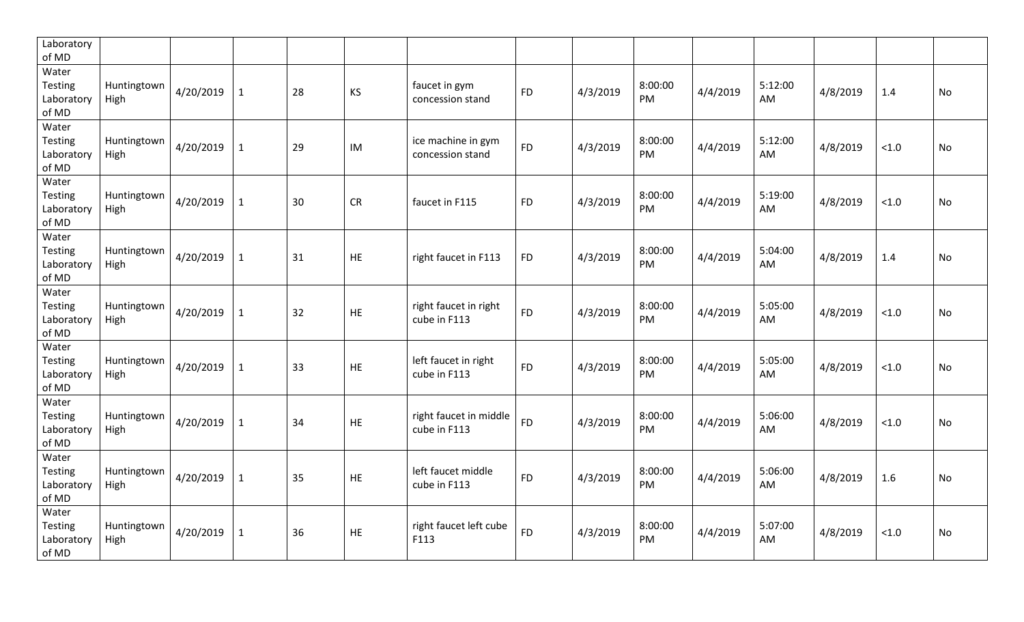| Laboratory<br>of MD                            |                     |           |              |    |           |                                        |           |          |               |          |               |          |       |           |
|------------------------------------------------|---------------------|-----------|--------------|----|-----------|----------------------------------------|-----------|----------|---------------|----------|---------------|----------|-------|-----------|
| Water<br>Testing<br>Laboratory<br>of MD        | Huntingtown<br>High | 4/20/2019 | $\mathbf{1}$ | 28 | KS        | faucet in gym<br>concession stand      | <b>FD</b> | 4/3/2019 | 8:00:00<br>PM | 4/4/2019 | 5:12:00<br>AM | 4/8/2019 | 1.4   | <b>No</b> |
| Water<br>Testing<br>Laboratory<br>of MD        | Huntingtown<br>High | 4/20/2019 | $\mathbf{1}$ | 29 | IM        | ice machine in gym<br>concession stand | <b>FD</b> | 4/3/2019 | 8:00:00<br>PM | 4/4/2019 | 5:12:00<br>AM | 4/8/2019 | < 1.0 | No        |
| Water<br><b>Testing</b><br>Laboratory<br>of MD | Huntingtown<br>High | 4/20/2019 | $\mathbf{1}$ | 30 | <b>CR</b> | faucet in F115                         | <b>FD</b> | 4/3/2019 | 8:00:00<br>PM | 4/4/2019 | 5:19:00<br>AM | 4/8/2019 | < 1.0 | No        |
| Water<br>Testing<br>Laboratory<br>of MD        | Huntingtown<br>High | 4/20/2019 | $\mathbf{1}$ | 31 | <b>HE</b> | right faucet in F113                   | <b>FD</b> | 4/3/2019 | 8:00:00<br>PM | 4/4/2019 | 5:04:00<br>AM | 4/8/2019 | 1.4   | No        |
| Water<br>Testing<br>Laboratory<br>of MD        | Huntingtown<br>High | 4/20/2019 | $\mathbf{1}$ | 32 | HE        | right faucet in right<br>cube in F113  | <b>FD</b> | 4/3/2019 | 8:00:00<br>PM | 4/4/2019 | 5:05:00<br>AM | 4/8/2019 | < 1.0 | No        |
| Water<br><b>Testing</b><br>Laboratory<br>of MD | Huntingtown<br>High | 4/20/2019 | $\mathbf{1}$ | 33 | <b>HE</b> | left faucet in right<br>cube in F113   | <b>FD</b> | 4/3/2019 | 8:00:00<br>PM | 4/4/2019 | 5:05:00<br>AM | 4/8/2019 | < 1.0 | <b>No</b> |
| Water<br><b>Testing</b><br>Laboratory<br>of MD | Huntingtown<br>High | 4/20/2019 | $\mathbf{1}$ | 34 | <b>HE</b> | right faucet in middle<br>cube in F113 | <b>FD</b> | 4/3/2019 | 8:00:00<br>PM | 4/4/2019 | 5:06:00<br>AM | 4/8/2019 | < 1.0 | <b>No</b> |
| Water<br>Testing<br>Laboratory<br>of MD        | Huntingtown<br>High | 4/20/2019 | $\mathbf{1}$ | 35 | <b>HE</b> | left faucet middle<br>cube in F113     | <b>FD</b> | 4/3/2019 | 8:00:00<br>PM | 4/4/2019 | 5:06:00<br>AM | 4/8/2019 | 1.6   | <b>No</b> |
| Water<br>Testing<br>Laboratory<br>of MD        | Huntingtown<br>High | 4/20/2019 | $\mathbf{1}$ | 36 | <b>HE</b> | right faucet left cube<br>F113         | <b>FD</b> | 4/3/2019 | 8:00:00<br>PM | 4/4/2019 | 5:07:00<br>AM | 4/8/2019 | < 1.0 | No        |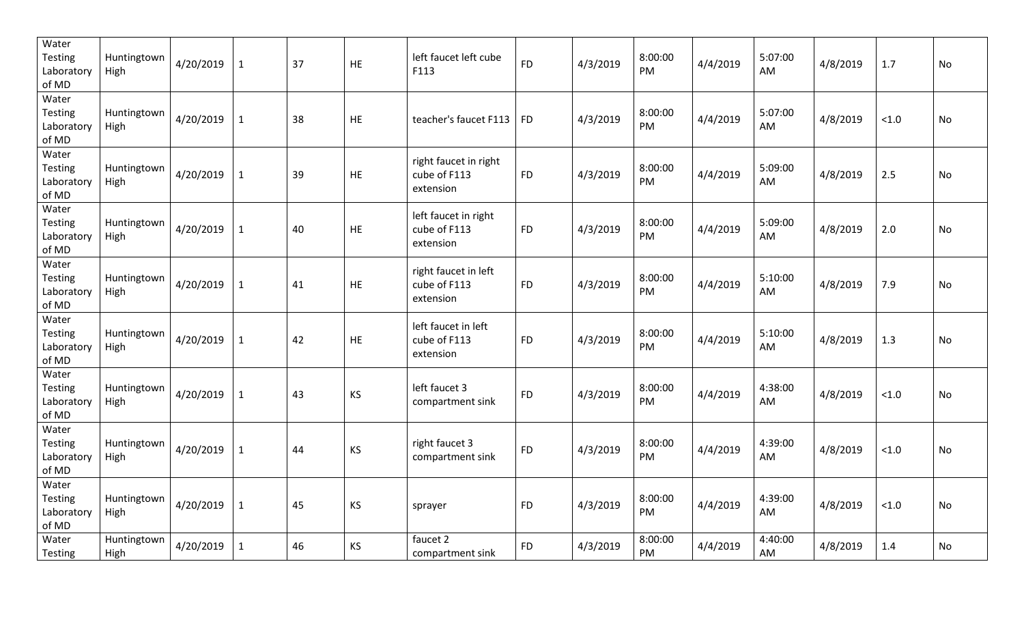| Water<br><b>Testing</b><br>Laboratory<br>of MD | Huntingtown<br>High | 4/20/2019 | $\mathbf{1}$ | 37 | HE        | left faucet left cube<br>F113                      | <b>FD</b> | 4/3/2019 | 8:00:00<br>PM        | 4/4/2019 | 5:07:00<br>AM | 4/8/2019 | 1.7   | <b>No</b> |
|------------------------------------------------|---------------------|-----------|--------------|----|-----------|----------------------------------------------------|-----------|----------|----------------------|----------|---------------|----------|-------|-----------|
| Water<br>Testing<br>Laboratory<br>of MD        | Huntingtown<br>High | 4/20/2019 | $\mathbf{1}$ | 38 | HE        | teacher's faucet F113                              | <b>FD</b> | 4/3/2019 | 8:00:00<br>PM        | 4/4/2019 | 5:07:00<br>AM | 4/8/2019 | < 1.0 | No        |
| Water<br>Testing<br>Laboratory<br>of MD        | Huntingtown<br>High | 4/20/2019 | $\mathbf{1}$ | 39 | <b>HE</b> | right faucet in right<br>cube of F113<br>extension | <b>FD</b> | 4/3/2019 | 8:00:00<br><b>PM</b> | 4/4/2019 | 5:09:00<br>AM | 4/8/2019 | 2.5   | No        |
| Water<br><b>Testing</b><br>Laboratory<br>of MD | Huntingtown<br>High | 4/20/2019 | $\mathbf{1}$ | 40 | <b>HE</b> | left faucet in right<br>cube of F113<br>extension  | <b>FD</b> | 4/3/2019 | 8:00:00<br>PM        | 4/4/2019 | 5:09:00<br>AM | 4/8/2019 | 2.0   | <b>No</b> |
| Water<br><b>Testing</b><br>Laboratory<br>of MD | Huntingtown<br>High | 4/20/2019 | $\mathbf{1}$ | 41 | <b>HE</b> | right faucet in left<br>cube of F113<br>extension  | <b>FD</b> | 4/3/2019 | 8:00:00<br>PM        | 4/4/2019 | 5:10:00<br>AM | 4/8/2019 | 7.9   | <b>No</b> |
| Water<br><b>Testing</b><br>Laboratory<br>of MD | Huntingtown<br>High | 4/20/2019 | $\mathbf{1}$ | 42 | <b>HE</b> | left faucet in left<br>cube of F113<br>extension   | <b>FD</b> | 4/3/2019 | 8:00:00<br>PM        | 4/4/2019 | 5:10:00<br>AM | 4/8/2019 | 1.3   | <b>No</b> |
| Water<br><b>Testing</b><br>Laboratory<br>of MD | Huntingtown<br>High | 4/20/2019 | $\mathbf{1}$ | 43 | <b>KS</b> | left faucet 3<br>compartment sink                  | <b>FD</b> | 4/3/2019 | 8:00:00<br>PM        | 4/4/2019 | 4:38:00<br>AM | 4/8/2019 | < 1.0 | <b>No</b> |
| Water<br><b>Testing</b><br>Laboratory<br>of MD | Huntingtown<br>High | 4/20/2019 | $\mathbf{1}$ | 44 | <b>KS</b> | right faucet 3<br>compartment sink                 | <b>FD</b> | 4/3/2019 | 8:00:00<br>PM.       | 4/4/2019 | 4:39:00<br>AM | 4/8/2019 | < 1.0 | <b>No</b> |
| Water<br>Testing<br>Laboratory<br>of MD        | Huntingtown<br>High | 4/20/2019 | $\mathbf{1}$ | 45 | <b>KS</b> | sprayer                                            | <b>FD</b> | 4/3/2019 | 8:00:00<br>PM        | 4/4/2019 | 4:39:00<br>AM | 4/8/2019 | < 1.0 | No        |
| Water<br><b>Testing</b>                        | Huntingtown<br>High | 4/20/2019 | $\mathbf{1}$ | 46 | <b>KS</b> | faucet 2<br>compartment sink                       | <b>FD</b> | 4/3/2019 | 8:00:00<br>PM.       | 4/4/2019 | 4:40:00<br>AM | 4/8/2019 | 1.4   | <b>No</b> |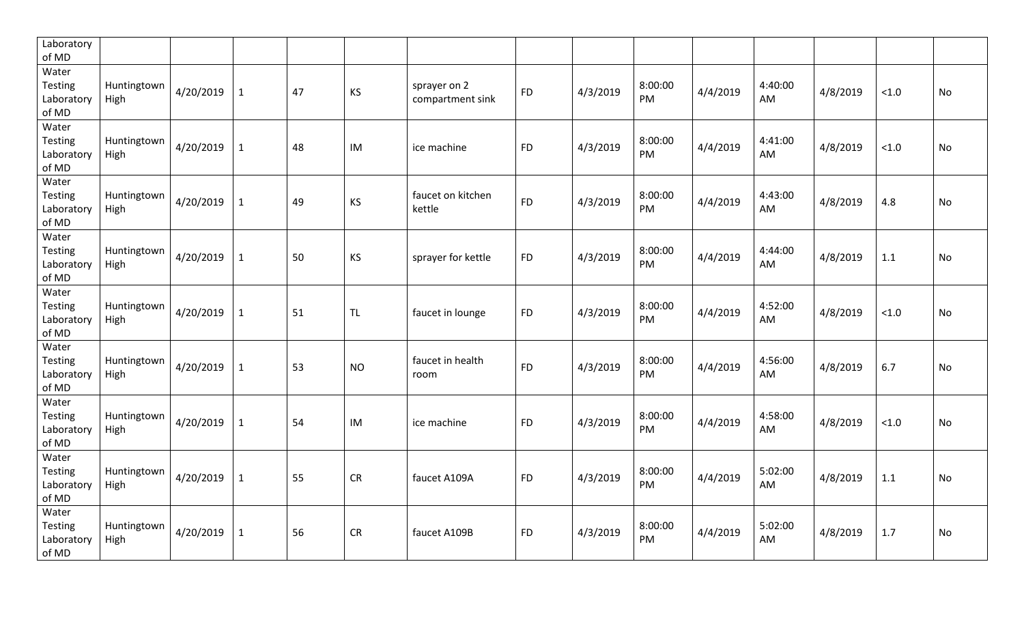| Laboratory<br>of MD                            |                     |           |              |    |           |                                  |           |          |               |          |               |          |       |           |
|------------------------------------------------|---------------------|-----------|--------------|----|-----------|----------------------------------|-----------|----------|---------------|----------|---------------|----------|-------|-----------|
| Water<br>Testing<br>Laboratory<br>of MD        | Huntingtown<br>High | 4/20/2019 | $\mathbf{1}$ | 47 | KS        | sprayer on 2<br>compartment sink | <b>FD</b> | 4/3/2019 | 8:00:00<br>PM | 4/4/2019 | 4:40:00<br>AM | 4/8/2019 | < 1.0 | <b>No</b> |
| Water<br><b>Testing</b><br>Laboratory<br>of MD | Huntingtown<br>High | 4/20/2019 | $\mathbf{1}$ | 48 | IM        | ice machine                      | <b>FD</b> | 4/3/2019 | 8:00:00<br>PM | 4/4/2019 | 4:41:00<br>AM | 4/8/2019 | < 1.0 | No        |
| Water<br><b>Testing</b><br>Laboratory<br>of MD | Huntingtown<br>High | 4/20/2019 | $\mathbf{1}$ | 49 | KS        | faucet on kitchen<br>kettle      | <b>FD</b> | 4/3/2019 | 8:00:00<br>PM | 4/4/2019 | 4:43:00<br>AM | 4/8/2019 | 4.8   | No        |
| Water<br>Testing<br>Laboratory<br>of MD        | Huntingtown<br>High | 4/20/2019 | $\mathbf{1}$ | 50 | KS        | sprayer for kettle               | <b>FD</b> | 4/3/2019 | 8:00:00<br>PM | 4/4/2019 | 4:44:00<br>AM | 4/8/2019 | 1.1   | No        |
| Water<br>Testing<br>Laboratory<br>of MD        | Huntingtown<br>High | 4/20/2019 | $\mathbf{1}$ | 51 | <b>TL</b> | faucet in lounge                 | <b>FD</b> | 4/3/2019 | 8:00:00<br>PM | 4/4/2019 | 4:52:00<br>AM | 4/8/2019 | < 1.0 | No        |
| Water<br><b>Testing</b><br>Laboratory<br>of MD | Huntingtown<br>High | 4/20/2019 | $\mathbf{1}$ | 53 | <b>NO</b> | faucet in health<br>room         | <b>FD</b> | 4/3/2019 | 8:00:00<br>PM | 4/4/2019 | 4:56:00<br>AM | 4/8/2019 | 6.7   | No        |
| Water<br><b>Testing</b><br>Laboratory<br>of MD | Huntingtown<br>High | 4/20/2019 | $\mathbf{1}$ | 54 | IM        | ice machine                      | <b>FD</b> | 4/3/2019 | 8:00:00<br>PM | 4/4/2019 | 4:58:00<br>AM | 4/8/2019 | < 1.0 | No        |
| Water<br>Testing<br>Laboratory<br>of MD        | Huntingtown<br>High | 4/20/2019 | $\mathbf{1}$ | 55 | <b>CR</b> | faucet A109A                     | <b>FD</b> | 4/3/2019 | 8:00:00<br>PM | 4/4/2019 | 5:02:00<br>AM | 4/8/2019 | 1.1   | No        |
| Water<br><b>Testing</b><br>Laboratory<br>of MD | Huntingtown<br>High | 4/20/2019 | $\mathbf{1}$ | 56 | <b>CR</b> | faucet A109B                     | <b>FD</b> | 4/3/2019 | 8:00:00<br>PM | 4/4/2019 | 5:02:00<br>AM | 4/8/2019 | 1.7   | No        |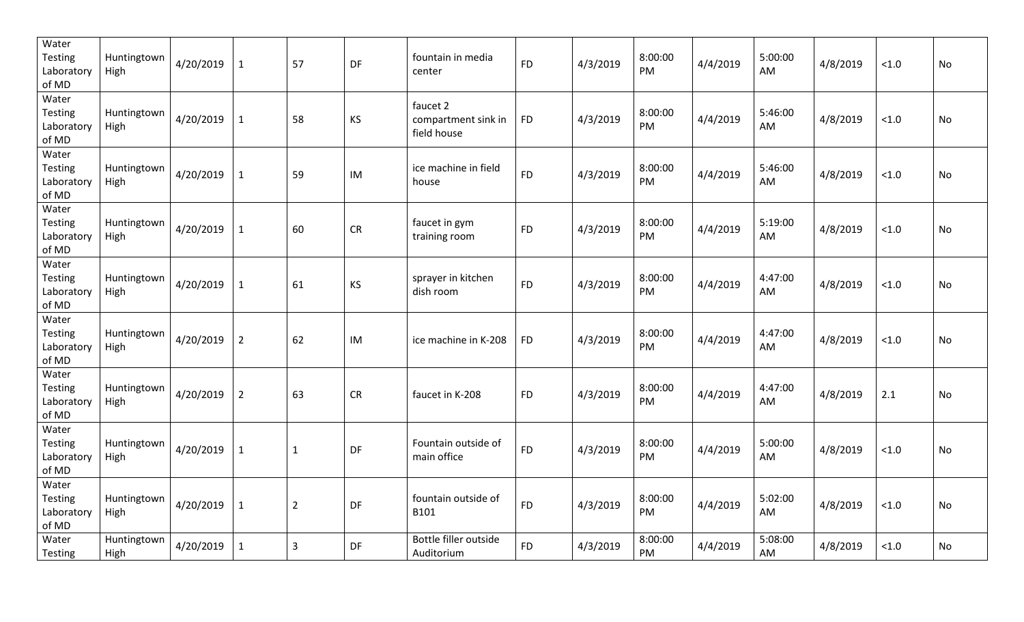| Water<br><b>Testing</b><br>Laboratory<br>of MD | Huntingtown<br>High | 4/20/2019 | $\mathbf{1}$   | 57             | DF        | fountain in media<br>center                    | <b>FD</b> | 4/3/2019 | 8:00:00<br>PM | 4/4/2019 | 5:00:00<br>AM | 4/8/2019 | < 1.0  | No |
|------------------------------------------------|---------------------|-----------|----------------|----------------|-----------|------------------------------------------------|-----------|----------|---------------|----------|---------------|----------|--------|----|
| Water<br>Testing<br>Laboratory<br>of MD        | Huntingtown<br>High | 4/20/2019 | $\mathbf 1$    | 58             | KS        | faucet 2<br>compartment sink in<br>field house | <b>FD</b> | 4/3/2019 | 8:00:00<br>PM | 4/4/2019 | 5:46:00<br>AM | 4/8/2019 | < 1.0  | No |
| Water<br><b>Testing</b><br>Laboratory<br>of MD | Huntingtown<br>High | 4/20/2019 | $\mathbf{1}$   | 59             | IM        | ice machine in field<br>house                  | <b>FD</b> | 4/3/2019 | 8:00:00<br>PM | 4/4/2019 | 5:46:00<br>AM | 4/8/2019 | < 1.0  | No |
| Water<br><b>Testing</b><br>Laboratory<br>of MD | Huntingtown<br>High | 4/20/2019 | $\mathbf{1}$   | 60             | <b>CR</b> | faucet in gym<br>training room                 | <b>FD</b> | 4/3/2019 | 8:00:00<br>PM | 4/4/2019 | 5:19:00<br>AM | 4/8/2019 | < 1.0  | No |
| Water<br><b>Testing</b><br>Laboratory<br>of MD | Huntingtown<br>High | 4/20/2019 | $\mathbf{1}$   | 61             | KS        | sprayer in kitchen<br>dish room                | <b>FD</b> | 4/3/2019 | 8:00:00<br>PM | 4/4/2019 | 4:47:00<br>AM | 4/8/2019 | < 1.0  | No |
| Water<br>Testing<br>Laboratory<br>of MD        | Huntingtown<br>High | 4/20/2019 | $\overline{2}$ | 62             | IM        | ice machine in K-208                           | <b>FD</b> | 4/3/2019 | 8:00:00<br>PM | 4/4/2019 | 4:47:00<br>AM | 4/8/2019 | < 1.0  | No |
| Water<br><b>Testing</b><br>Laboratory<br>of MD | Huntingtown<br>High | 4/20/2019 | $\overline{2}$ | 63             | <b>CR</b> | faucet in K-208                                | <b>FD</b> | 4/3/2019 | 8:00:00<br>PM | 4/4/2019 | 4:47:00<br>AM | 4/8/2019 | 2.1    | No |
| Water<br>Testing<br>Laboratory<br>of MD        | Huntingtown<br>High | 4/20/2019 | $\mathbf{1}$   | $\mathbf{1}$   | DF        | Fountain outside of<br>main office             | <b>FD</b> | 4/3/2019 | 8:00:00<br>PM | 4/4/2019 | 5:00:00<br>AM | 4/8/2019 | < 1.0  | No |
| Water<br>Testing<br>Laboratory<br>of MD        | Huntingtown<br>High | 4/20/2019 | $\mathbf{1}$   | $\overline{2}$ | DF        | fountain outside of<br>B101                    | <b>FD</b> | 4/3/2019 | 8:00:00<br>PM | 4/4/2019 | 5:02:00<br>AM | 4/8/2019 | < 1.0  | No |
| Water<br>Testing                               | Huntingtown<br>High | 4/20/2019 | $\mathbf{1}$   | 3              | <b>DF</b> | Bottle filler outside<br>Auditorium            | <b>FD</b> | 4/3/2019 | 8:00:00<br>PM | 4/4/2019 | 5:08:00<br>AM | 4/8/2019 | $<1.0$ | No |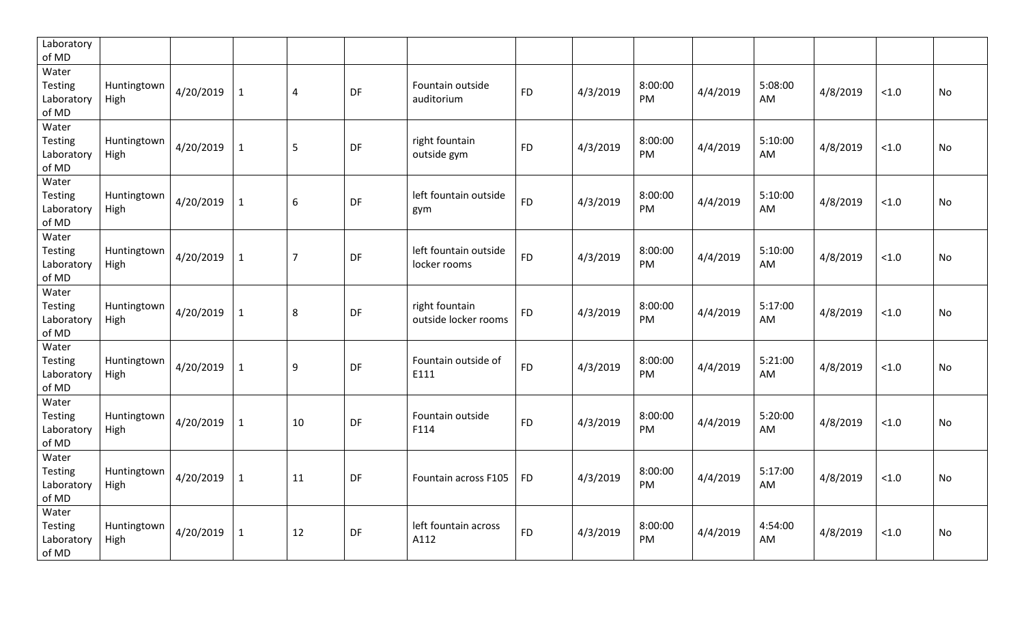| Laboratory<br>of MD                            |                     |           |              |                |    |                                        |           |          |               |          |               |          |       |           |
|------------------------------------------------|---------------------|-----------|--------------|----------------|----|----------------------------------------|-----------|----------|---------------|----------|---------------|----------|-------|-----------|
| Water<br>Testing<br>Laboratory<br>of MD        | Huntingtown<br>High | 4/20/2019 | $\mathbf{1}$ | $\overline{4}$ | DF | Fountain outside<br>auditorium         | <b>FD</b> | 4/3/2019 | 8:00:00<br>PM | 4/4/2019 | 5:08:00<br>AM | 4/8/2019 | < 1.0 | No        |
| Water<br>Testing<br>Laboratory<br>of MD        | Huntingtown<br>High | 4/20/2019 | $\mathbf{1}$ | 5              | DF | right fountain<br>outside gym          | <b>FD</b> | 4/3/2019 | 8:00:00<br>PM | 4/4/2019 | 5:10:00<br>AM | 4/8/2019 | < 1.0 | No        |
| Water<br><b>Testing</b><br>Laboratory<br>of MD | Huntingtown<br>High | 4/20/2019 | $\mathbf{1}$ | 6              | DF | left fountain outside<br>gym           | <b>FD</b> | 4/3/2019 | 8:00:00<br>PM | 4/4/2019 | 5:10:00<br>AM | 4/8/2019 | < 1.0 | No        |
| Water<br><b>Testing</b><br>Laboratory<br>of MD | Huntingtown<br>High | 4/20/2019 | $\mathbf{1}$ | $\overline{7}$ | DF | left fountain outside<br>locker rooms  | <b>FD</b> | 4/3/2019 | 8:00:00<br>PM | 4/4/2019 | 5:10:00<br>AM | 4/8/2019 | < 1.0 | No        |
| Water<br>Testing<br>Laboratory<br>of MD        | Huntingtown<br>High | 4/20/2019 | $\mathbf{1}$ | 8              | DF | right fountain<br>outside locker rooms | <b>FD</b> | 4/3/2019 | 8:00:00<br>PM | 4/4/2019 | 5:17:00<br>AM | 4/8/2019 | < 1.0 | No        |
| Water<br><b>Testing</b><br>Laboratory<br>of MD | Huntingtown<br>High | 4/20/2019 | $\mathbf{1}$ | 9              | DF | Fountain outside of<br>E111            | <b>FD</b> | 4/3/2019 | 8:00:00<br>PM | 4/4/2019 | 5:21:00<br>AM | 4/8/2019 | < 1.0 | <b>No</b> |
| Water<br><b>Testing</b><br>Laboratory<br>of MD | Huntingtown<br>High | 4/20/2019 | $\mathbf{1}$ | 10             | DF | Fountain outside<br>F114               | <b>FD</b> | 4/3/2019 | 8:00:00<br>PM | 4/4/2019 | 5:20:00<br>AM | 4/8/2019 | < 1.0 | No        |
| Water<br>Testing<br>Laboratory<br>of MD        | Huntingtown<br>High | 4/20/2019 | $\mathbf{1}$ | 11             | DF | Fountain across F105                   | <b>FD</b> | 4/3/2019 | 8:00:00<br>PM | 4/4/2019 | 5:17:00<br>AM | 4/8/2019 | < 1.0 | No        |
| Water<br>Testing<br>Laboratory<br>of MD        | Huntingtown<br>High | 4/20/2019 | $\mathbf{1}$ | 12             | DF | left fountain across<br>A112           | <b>FD</b> | 4/3/2019 | 8:00:00<br>PM | 4/4/2019 | 4:54:00<br>AM | 4/8/2019 | < 1.0 | No        |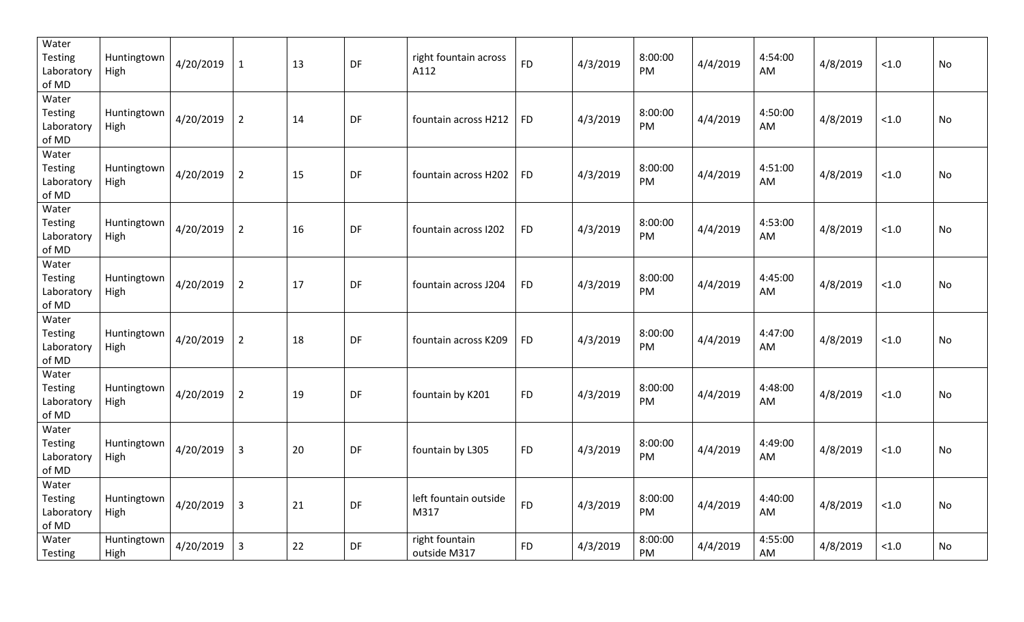| Water<br><b>Testing</b><br>Laboratory<br>of MD | Huntingtown<br>High | 4/20/2019 | $\mathbf{1}$   | 13 | DF        | right fountain across<br>A112  | <b>FD</b> | 4/3/2019 | 8:00:00<br>PM | 4/4/2019 | 4:54:00<br>AM | 4/8/2019 | < 1.0  | No |
|------------------------------------------------|---------------------|-----------|----------------|----|-----------|--------------------------------|-----------|----------|---------------|----------|---------------|----------|--------|----|
| Water<br>Testing<br>Laboratory<br>of MD        | Huntingtown<br>High | 4/20/2019 | $\overline{2}$ | 14 | DF        | fountain across H212           | <b>FD</b> | 4/3/2019 | 8:00:00<br>PM | 4/4/2019 | 4:50:00<br>AM | 4/8/2019 | < 1.0  | No |
| Water<br>Testing<br>Laboratory<br>of MD        | Huntingtown<br>High | 4/20/2019 | $\overline{2}$ | 15 | <b>DF</b> | fountain across H202           | <b>FD</b> | 4/3/2019 | 8:00:00<br>PM | 4/4/2019 | 4:51:00<br>AM | 4/8/2019 | < 1.0  | No |
| Water<br><b>Testing</b><br>Laboratory<br>of MD | Huntingtown<br>High | 4/20/2019 | $\overline{2}$ | 16 | DF        | fountain across I202           | <b>FD</b> | 4/3/2019 | 8:00:00<br>PM | 4/4/2019 | 4:53:00<br>AM | 4/8/2019 | < 1.0  | No |
| Water<br>Testing<br>Laboratory<br>of MD        | Huntingtown<br>High | 4/20/2019 | $\overline{2}$ | 17 | DF        | fountain across J204           | <b>FD</b> | 4/3/2019 | 8:00:00<br>PM | 4/4/2019 | 4:45:00<br>AM | 4/8/2019 | < 1.0  | No |
| Water<br>Testing<br>Laboratory<br>of MD        | Huntingtown<br>High | 4/20/2019 | $\overline{2}$ | 18 | DF        | fountain across K209           | <b>FD</b> | 4/3/2019 | 8:00:00<br>PM | 4/4/2019 | 4:47:00<br>AM | 4/8/2019 | < 1.0  | No |
| Water<br><b>Testing</b><br>Laboratory<br>of MD | Huntingtown<br>High | 4/20/2019 | $\overline{2}$ | 19 | DF        | fountain by K201               | <b>FD</b> | 4/3/2019 | 8:00:00<br>PM | 4/4/2019 | 4:48:00<br>AM | 4/8/2019 | < 1.0  | No |
| Water<br>Testing<br>Laboratory<br>of MD        | Huntingtown<br>High | 4/20/2019 | 3              | 20 | DF        | fountain by L305               | <b>FD</b> | 4/3/2019 | 8:00:00<br>PM | 4/4/2019 | 4:49:00<br>AM | 4/8/2019 | < 1.0  | No |
| Water<br>Testing<br>Laboratory<br>of MD        | Huntingtown<br>High | 4/20/2019 | $\mathsf{3}$   | 21 | DF        | left fountain outside<br>M317  | <b>FD</b> | 4/3/2019 | 8:00:00<br>PM | 4/4/2019 | 4:40:00<br>AM | 4/8/2019 | < 1.0  | No |
| Water<br>Testing                               | Huntingtown<br>High | 4/20/2019 | 3              | 22 | <b>DF</b> | right fountain<br>outside M317 | <b>FD</b> | 4/3/2019 | 8:00:00<br>PM | 4/4/2019 | 4:55:00<br>AM | 4/8/2019 | $<1.0$ | No |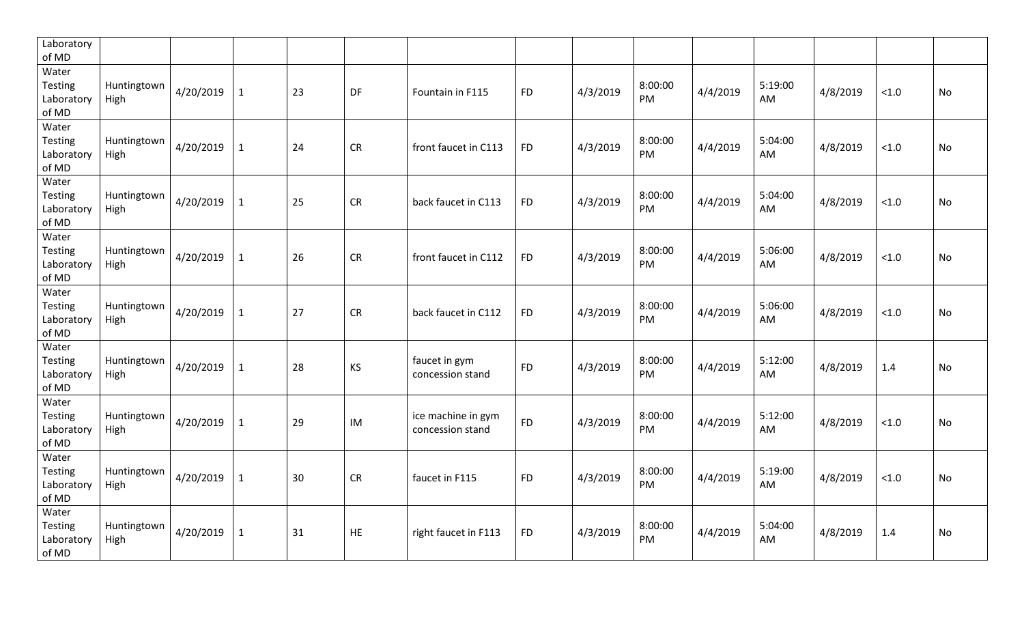| Laboratory<br>of MD                     |                     |           |              |    |           |                                        |           |          |               |          |               |          |        |    |
|-----------------------------------------|---------------------|-----------|--------------|----|-----------|----------------------------------------|-----------|----------|---------------|----------|---------------|----------|--------|----|
| Water<br>Testing<br>Laboratory<br>of MD | Huntingtown<br>High | 4/20/2019 | 1            | 23 | DF        | Fountain in F115                       | <b>FD</b> | 4/3/2019 | 8:00:00<br>PM | 4/4/2019 | 5:19:00<br>AM | 4/8/2019 | < 1.0  | No |
| Water<br>Testing<br>Laboratory<br>of MD | Huntingtown<br>High | 4/20/2019 | 1            | 24 | <b>CR</b> | front faucet in C113                   | <b>FD</b> | 4/3/2019 | 8:00:00<br>PM | 4/4/2019 | 5:04:00<br>AM | 4/8/2019 | < 1.0  | No |
| Water<br>Testing<br>Laboratory<br>of MD | Huntingtown<br>High | 4/20/2019 | $\mathbf{1}$ | 25 | <b>CR</b> | back faucet in C113                    | <b>FD</b> | 4/3/2019 | 8:00:00<br>PM | 4/4/2019 | 5:04:00<br>AM | 4/8/2019 | $<1.0$ | No |
| Water<br>Testing<br>Laboratory<br>of MD | Huntingtown<br>High | 4/20/2019 | $\mathbf{1}$ | 26 | <b>CR</b> | front faucet in C112                   | <b>FD</b> | 4/3/2019 | 8:00:00<br>PM | 4/4/2019 | 5:06:00<br>AM | 4/8/2019 | < 1.0  | No |
| Water<br>Testing<br>Laboratory<br>of MD | Huntingtown<br>High | 4/20/2019 | $\mathbf{1}$ | 27 | <b>CR</b> | back faucet in C112                    | <b>FD</b> | 4/3/2019 | 8:00:00<br>PM | 4/4/2019 | 5:06:00<br>AM | 4/8/2019 | $<1.0$ | No |
| Water<br>Testing<br>Laboratory<br>of MD | Huntingtown<br>High | 4/20/2019 | $\mathbf{1}$ | 28 | KS        | faucet in gym<br>concession stand      | <b>FD</b> | 4/3/2019 | 8:00:00<br>PM | 4/4/2019 | 5:12:00<br>AM | 4/8/2019 | 1.4    | No |
| Water<br>Testing<br>Laboratory<br>of MD | Huntingtown<br>High | 4/20/2019 | $\mathbf{1}$ | 29 | IM        | ice machine in gym<br>concession stand | <b>FD</b> | 4/3/2019 | 8:00:00<br>PM | 4/4/2019 | 5:12:00<br>AM | 4/8/2019 | < 1.0  | No |
| Water<br>Testing<br>Laboratory<br>of MD | Huntingtown<br>High | 4/20/2019 | $\mathbf{1}$ | 30 | <b>CR</b> | faucet in F115                         | <b>FD</b> | 4/3/2019 | 8:00:00<br>PM | 4/4/2019 | 5:19:00<br>AM | 4/8/2019 | < 1.0  | No |
| Water<br>Testing<br>Laboratory<br>of MD | Huntingtown<br>High | 4/20/2019 | 1            | 31 | <b>HE</b> | right faucet in F113                   | <b>FD</b> | 4/3/2019 | 8:00:00<br>PM | 4/4/2019 | 5:04:00<br>AM | 4/8/2019 | 1.4    | No |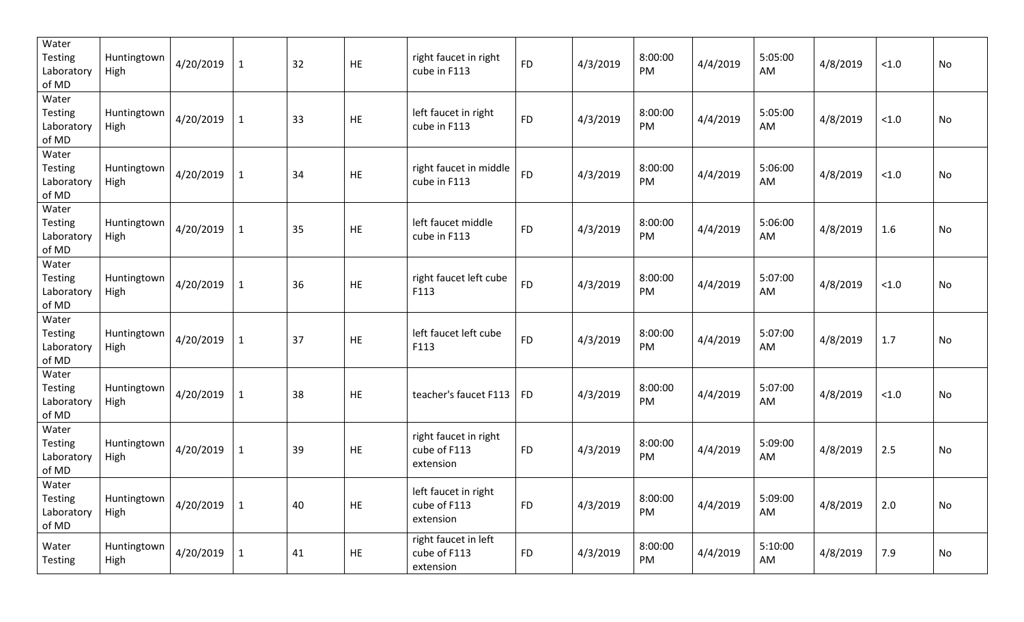| Water<br><b>Testing</b><br>Laboratory<br>of MD | Huntingtown<br>High | 4/20/2019       | $\mathbf{1}$ | 32 | HE        | right faucet in right<br>cube in F113              | <b>FD</b> | 4/3/2019 | 8:00:00<br>PM | 4/4/2019 | 5:05:00<br>AM | 4/8/2019 | < 1.0 | No |
|------------------------------------------------|---------------------|-----------------|--------------|----|-----------|----------------------------------------------------|-----------|----------|---------------|----------|---------------|----------|-------|----|
| Water<br><b>Testing</b><br>Laboratory<br>of MD | Huntingtown<br>High | 4/20/2019       | $\mathbf{1}$ | 33 | HE        | left faucet in right<br>cube in F113               | <b>FD</b> | 4/3/2019 | 8:00:00<br>PM | 4/4/2019 | 5:05:00<br>AM | 4/8/2019 | < 1.0 | No |
| Water<br><b>Testing</b><br>Laboratory<br>of MD | Huntingtown<br>High | 4/20/2019       | $\mathbf{1}$ | 34 | HE        | right faucet in middle<br>cube in F113             | <b>FD</b> | 4/3/2019 | 8:00:00<br>PM | 4/4/2019 | 5:06:00<br>AM | 4/8/2019 | < 1.0 | No |
| Water<br><b>Testing</b><br>Laboratory<br>of MD | Huntingtown<br>High | 4/20/2019       | $\mathbf{1}$ | 35 | HE        | left faucet middle<br>cube in F113                 | <b>FD</b> | 4/3/2019 | 8:00:00<br>PM | 4/4/2019 | 5:06:00<br>AM | 4/8/2019 | 1.6   | No |
| Water<br><b>Testing</b><br>Laboratory<br>of MD | Huntingtown<br>High | 4/20/2019       | $\mathbf{1}$ | 36 | HE        | right faucet left cube<br>F113                     | <b>FD</b> | 4/3/2019 | 8:00:00<br>PM | 4/4/2019 | 5:07:00<br>AM | 4/8/2019 | < 1.0 | No |
| Water<br><b>Testing</b><br>Laboratory<br>of MD | Huntingtown<br>High | 4/20/2019       | $\mathbf{1}$ | 37 | HE        | left faucet left cube<br>F113                      | <b>FD</b> | 4/3/2019 | 8:00:00<br>PM | 4/4/2019 | 5:07:00<br>AM | 4/8/2019 | 1.7   | No |
| Water<br><b>Testing</b><br>Laboratory<br>of MD | Huntingtown<br>High | 4/20/2019       | $\mathbf{1}$ | 38 | <b>HE</b> | teacher's faucet F113                              | <b>FD</b> | 4/3/2019 | 8:00:00<br>PM | 4/4/2019 | 5:07:00<br>AM | 4/8/2019 | < 1.0 | No |
| Water<br><b>Testing</b><br>Laboratory<br>of MD | Huntingtown<br>High | 4/20/2019       | $\mathbf{1}$ | 39 | HE        | right faucet in right<br>cube of F113<br>extension | <b>FD</b> | 4/3/2019 | 8:00:00<br>PM | 4/4/2019 | 5:09:00<br>AM | 4/8/2019 | 2.5   | No |
| Water<br><b>Testing</b><br>Laboratory<br>of MD | Huntingtown<br>High | $4/20/2019$   1 |              | 40 | <b>HE</b> | left faucet in right<br>cube of F113<br>extension  | <b>FD</b> | 4/3/2019 | 8:00:00<br>PM | 4/4/2019 | 5:09:00<br>AM | 4/8/2019 | 2.0   | No |
| Water<br><b>Testing</b>                        | Huntingtown<br>High | 4/20/2019       | $\mathbf{1}$ | 41 | HE        | right faucet in left<br>cube of F113<br>extension  | <b>FD</b> | 4/3/2019 | 8:00:00<br>PM | 4/4/2019 | 5:10:00<br>AM | 4/8/2019 | 7.9   | No |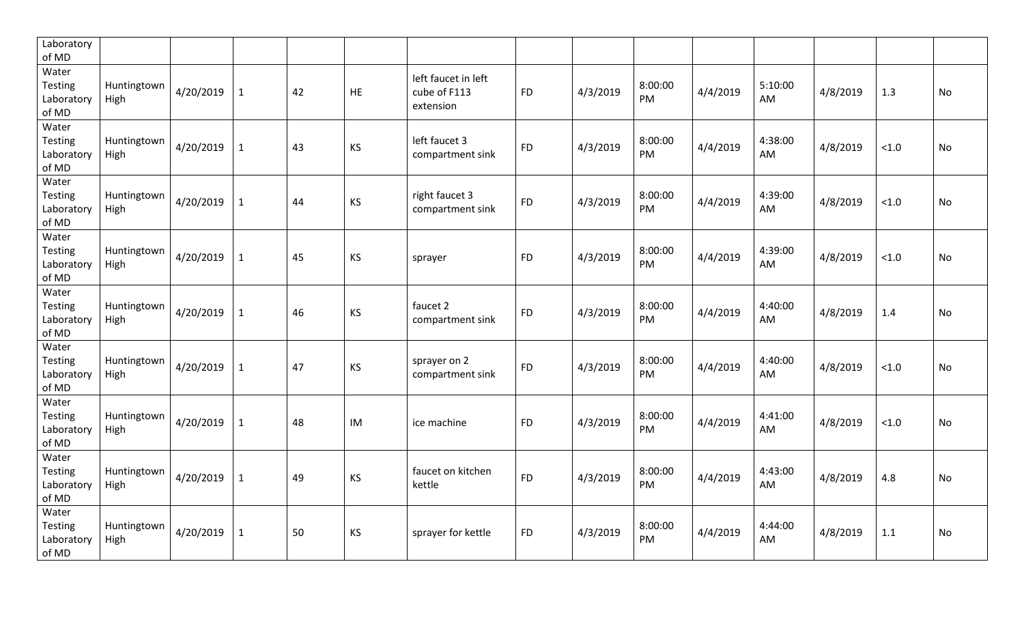| Laboratory<br>of MD                            |                     |           |              |    |           |                                                  |           |          |               |          |               |          |       |    |
|------------------------------------------------|---------------------|-----------|--------------|----|-----------|--------------------------------------------------|-----------|----------|---------------|----------|---------------|----------|-------|----|
| Water<br><b>Testing</b><br>Laboratory<br>of MD | Huntingtown<br>High | 4/20/2019 | $\mathbf{1}$ | 42 | <b>HE</b> | left faucet in left<br>cube of F113<br>extension | <b>FD</b> | 4/3/2019 | 8:00:00<br>PM | 4/4/2019 | 5:10:00<br>AM | 4/8/2019 | 1.3   | No |
| Water<br><b>Testing</b><br>Laboratory<br>of MD | Huntingtown<br>High | 4/20/2019 | $\mathbf{1}$ | 43 | KS        | left faucet 3<br>compartment sink                | <b>FD</b> | 4/3/2019 | 8:00:00<br>PM | 4/4/2019 | 4:38:00<br>AM | 4/8/2019 | < 1.0 | No |
| Water<br>Testing<br>Laboratory<br>of MD        | Huntingtown<br>High | 4/20/2019 | $\mathbf{1}$ | 44 | KS        | right faucet 3<br>compartment sink               | <b>FD</b> | 4/3/2019 | 8:00:00<br>PM | 4/4/2019 | 4:39:00<br>AM | 4/8/2019 | < 1.0 | No |
| Water<br><b>Testing</b><br>Laboratory<br>of MD | Huntingtown<br>High | 4/20/2019 | $\mathbf{1}$ | 45 | KS        | sprayer                                          | <b>FD</b> | 4/3/2019 | 8:00:00<br>PM | 4/4/2019 | 4:39:00<br>AM | 4/8/2019 | < 1.0 | No |
| Water<br><b>Testing</b><br>Laboratory<br>of MD | Huntingtown<br>High | 4/20/2019 | $\mathbf{1}$ | 46 | KS        | faucet 2<br>compartment sink                     | <b>FD</b> | 4/3/2019 | 8:00:00<br>PM | 4/4/2019 | 4:40:00<br>AM | 4/8/2019 | 1.4   | No |
| Water<br><b>Testing</b><br>Laboratory<br>of MD | Huntingtown<br>High | 4/20/2019 | $\mathbf{1}$ | 47 | KS        | sprayer on 2<br>compartment sink                 | <b>FD</b> | 4/3/2019 | 8:00:00<br>PM | 4/4/2019 | 4:40:00<br>AM | 4/8/2019 | < 1.0 | No |
| Water<br>Testing<br>Laboratory<br>of MD        | Huntingtown<br>High | 4/20/2019 | $\mathbf{1}$ | 48 | IM        | ice machine                                      | <b>FD</b> | 4/3/2019 | 8:00:00<br>PM | 4/4/2019 | 4:41:00<br>AM | 4/8/2019 | < 1.0 | No |
| Water<br><b>Testing</b><br>Laboratory<br>of MD | Huntingtown<br>High | 4/20/2019 | $\mathbf{1}$ | 49 | KS        | faucet on kitchen<br>kettle                      | <b>FD</b> | 4/3/2019 | 8:00:00<br>PM | 4/4/2019 | 4:43:00<br>AM | 4/8/2019 | 4.8   | No |
| Water<br><b>Testing</b><br>Laboratory<br>of MD | Huntingtown<br>High | 4/20/2019 | $\mathbf{1}$ | 50 | KS        | sprayer for kettle                               | <b>FD</b> | 4/3/2019 | 8:00:00<br>PM | 4/4/2019 | 4:44:00<br>AM | 4/8/2019 | 1.1   | No |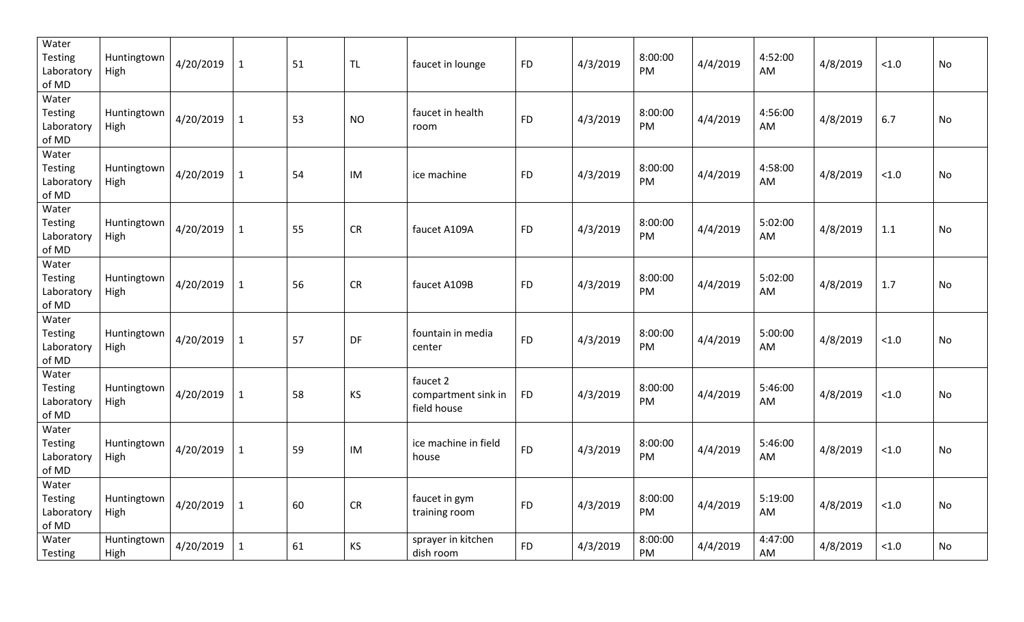| Water<br><b>Testing</b><br>Laboratory<br>of MD | Huntingtown<br>High | 4/20/2019 | $\mathbf{1}$ | 51 | <b>TL</b> | faucet in lounge                               | <b>FD</b> | 4/3/2019 | 8:00:00<br>PM | 4/4/2019 | 4:52:00<br>AM | 4/8/2019 | < 1.0  | No |
|------------------------------------------------|---------------------|-----------|--------------|----|-----------|------------------------------------------------|-----------|----------|---------------|----------|---------------|----------|--------|----|
| Water<br>Testing<br>Laboratory<br>of MD        | Huntingtown<br>High | 4/20/2019 | $\mathbf 1$  | 53 | <b>NO</b> | faucet in health<br>room                       | <b>FD</b> | 4/3/2019 | 8:00:00<br>PM | 4/4/2019 | 4:56:00<br>AM | 4/8/2019 | 6.7    | No |
| Water<br><b>Testing</b><br>Laboratory<br>of MD | Huntingtown<br>High | 4/20/2019 | $\mathbf{1}$ | 54 | IM        | ice machine                                    | <b>FD</b> | 4/3/2019 | 8:00:00<br>PM | 4/4/2019 | 4:58:00<br>AM | 4/8/2019 | < 1.0  | No |
| Water<br><b>Testing</b><br>Laboratory<br>of MD | Huntingtown<br>High | 4/20/2019 | $\mathbf{1}$ | 55 | <b>CR</b> | faucet A109A                                   | <b>FD</b> | 4/3/2019 | 8:00:00<br>PM | 4/4/2019 | 5:02:00<br>AM | 4/8/2019 | 1.1    | No |
| Water<br><b>Testing</b><br>Laboratory<br>of MD | Huntingtown<br>High | 4/20/2019 | $\mathbf{1}$ | 56 | <b>CR</b> | faucet A109B                                   | <b>FD</b> | 4/3/2019 | 8:00:00<br>PM | 4/4/2019 | 5:02:00<br>AM | 4/8/2019 | 1.7    | No |
| Water<br>Testing<br>Laboratory<br>of MD        | Huntingtown<br>High | 4/20/2019 | $\mathbf{1}$ | 57 | DF        | fountain in media<br>center                    | <b>FD</b> | 4/3/2019 | 8:00:00<br>PM | 4/4/2019 | 5:00:00<br>AM | 4/8/2019 | < 1.0  | No |
| Water<br><b>Testing</b><br>Laboratory<br>of MD | Huntingtown<br>High | 4/20/2019 | $\mathbf{1}$ | 58 | KS        | faucet 2<br>compartment sink in<br>field house | <b>FD</b> | 4/3/2019 | 8:00:00<br>PM | 4/4/2019 | 5:46:00<br>AM | 4/8/2019 | < 1.0  | No |
| Water<br>Testing<br>Laboratory<br>of MD        | Huntingtown<br>High | 4/20/2019 | $\mathbf{1}$ | 59 | IM        | ice machine in field<br>house                  | <b>FD</b> | 4/3/2019 | 8:00:00<br>PM | 4/4/2019 | 5:46:00<br>AM | 4/8/2019 | < 1.0  | No |
| Water<br>Testing<br>Laboratory<br>of MD        | Huntingtown<br>High | 4/20/2019 | $\mathbf{1}$ | 60 | <b>CR</b> | faucet in gym<br>training room                 | <b>FD</b> | 4/3/2019 | 8:00:00<br>PM | 4/4/2019 | 5:19:00<br>AM | 4/8/2019 | < 1.0  | No |
| Water<br>Testing                               | Huntingtown<br>High | 4/20/2019 | $\mathbf{1}$ | 61 | KS        | sprayer in kitchen<br>dish room                | <b>FD</b> | 4/3/2019 | 8:00:00<br>PM | 4/4/2019 | 4:47:00<br>AM | 4/8/2019 | $<1.0$ | No |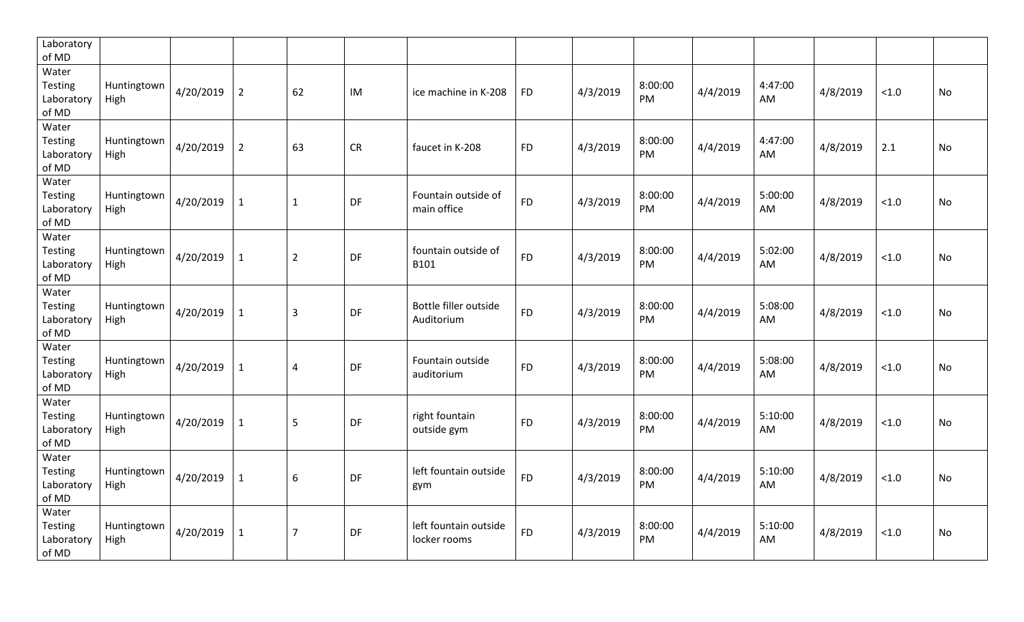| Laboratory<br>of MD                            |                     |           |                |                |           |                                       |           |          |                      |          |               |          |       |           |
|------------------------------------------------|---------------------|-----------|----------------|----------------|-----------|---------------------------------------|-----------|----------|----------------------|----------|---------------|----------|-------|-----------|
| Water<br>Testing<br>Laboratory<br>of MD        | Huntingtown<br>High | 4/20/2019 | $\overline{2}$ | 62             | IM        | ice machine in K-208                  | <b>FD</b> | 4/3/2019 | 8:00:00<br>PM        | 4/4/2019 | 4:47:00<br>AM | 4/8/2019 | < 1.0 | No        |
| Water<br><b>Testing</b><br>Laboratory<br>of MD | Huntingtown<br>High | 4/20/2019 | $\overline{2}$ | 63             | <b>CR</b> | faucet in K-208                       | <b>FD</b> | 4/3/2019 | 8:00:00<br>PM        | 4/4/2019 | 4:47:00<br>AM | 4/8/2019 | 2.1   | No        |
| Water<br><b>Testing</b><br>Laboratory<br>of MD | Huntingtown<br>High | 4/20/2019 | $\mathbf{1}$   | $\mathbf{1}$   | DF        | Fountain outside of<br>main office    | <b>FD</b> | 4/3/2019 | 8:00:00<br>PM        | 4/4/2019 | 5:00:00<br>AM | 4/8/2019 | < 1.0 | No        |
| Water<br>Testing<br>Laboratory<br>of MD        | Huntingtown<br>High | 4/20/2019 | $\mathbf{1}$   | $\overline{2}$ | DF        | fountain outside of<br>B101           | <b>FD</b> | 4/3/2019 | 8:00:00<br>PM        | 4/4/2019 | 5:02:00<br>AM | 4/8/2019 | < 1.0 | No        |
| Water<br>Testing<br>Laboratory<br>of MD        | Huntingtown<br>High | 4/20/2019 | $\mathbf{1}$   | 3              | DF        | Bottle filler outside<br>Auditorium   | <b>FD</b> | 4/3/2019 | 8:00:00<br>PM        | 4/4/2019 | 5:08:00<br>AM | 4/8/2019 | < 1.0 | No        |
| Water<br><b>Testing</b><br>Laboratory<br>of MD | Huntingtown<br>High | 4/20/2019 | $\mathbf{1}$   | 4              | DF        | Fountain outside<br>auditorium        | <b>FD</b> | 4/3/2019 | 8:00:00<br>PM        | 4/4/2019 | 5:08:00<br>AM | 4/8/2019 | < 1.0 | <b>No</b> |
| Water<br><b>Testing</b><br>Laboratory<br>of MD | Huntingtown<br>High | 4/20/2019 | $\mathbf{1}$   | 5              | DF        | right fountain<br>outside gym         | <b>FD</b> | 4/3/2019 | 8:00:00<br>PM        | 4/4/2019 | 5:10:00<br>AM | 4/8/2019 | < 1.0 | No        |
| Water<br>Testing<br>Laboratory<br>of MD        | Huntingtown<br>High | 4/20/2019 | $\mathbf{1}$   | 6              | DF        | left fountain outside<br>gym          | <b>FD</b> | 4/3/2019 | 8:00:00<br><b>PM</b> | 4/4/2019 | 5:10:00<br>AM | 4/8/2019 | < 1.0 | No        |
| Water<br>Testing<br>Laboratory<br>of MD        | Huntingtown<br>High | 4/20/2019 | $\mathbf{1}$   | $\overline{7}$ | DF        | left fountain outside<br>locker rooms | <b>FD</b> | 4/3/2019 | 8:00:00<br>PM        | 4/4/2019 | 5:10:00<br>AM | 4/8/2019 | < 1.0 | No        |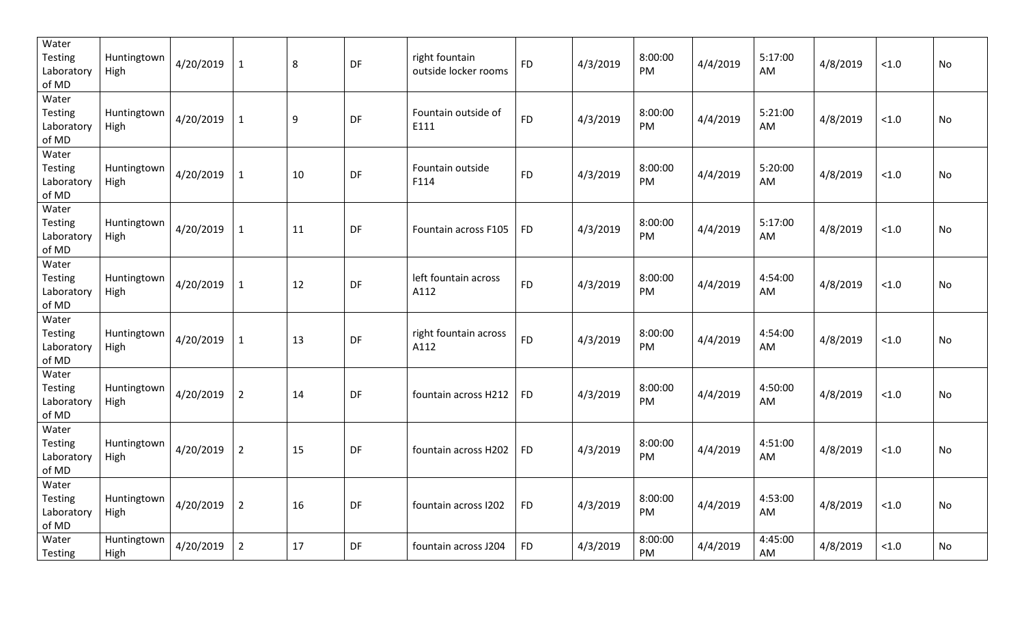| Water<br>Testing<br>Laboratory<br>of MD        | Huntingtown<br>High | 4/20/2019 | $\mathbf{1}$   | 8  | DF        | right fountain<br>outside locker rooms | <b>FD</b> | 4/3/2019 | 8:00:00<br>PM | 4/4/2019 | 5:17:00<br>AM | 4/8/2019 | < 1.0  | No |
|------------------------------------------------|---------------------|-----------|----------------|----|-----------|----------------------------------------|-----------|----------|---------------|----------|---------------|----------|--------|----|
| Water<br>Testing<br>Laboratory<br>of MD        | Huntingtown<br>High | 4/20/2019 | $\mathbf{1}$   | 9  | DF        | Fountain outside of<br>E111            | <b>FD</b> | 4/3/2019 | 8:00:00<br>PM | 4/4/2019 | 5:21:00<br>AM | 4/8/2019 | < 1.0  | No |
| Water<br><b>Testing</b><br>Laboratory<br>of MD | Huntingtown<br>High | 4/20/2019 | $\mathbf{1}$   | 10 | DF        | Fountain outside<br>F114               | <b>FD</b> | 4/3/2019 | 8:00:00<br>PM | 4/4/2019 | 5:20:00<br>AM | 4/8/2019 | < 1.0  | No |
| Water<br><b>Testing</b><br>Laboratory<br>of MD | Huntingtown<br>High | 4/20/2019 | $\mathbf{1}$   | 11 | DF        | Fountain across F105                   | <b>FD</b> | 4/3/2019 | 8:00:00<br>PM | 4/4/2019 | 5:17:00<br>AM | 4/8/2019 | < 1.0  | No |
| Water<br>Testing<br>Laboratory<br>of MD        | Huntingtown<br>High | 4/20/2019 | $\mathbf{1}$   | 12 | DF        | left fountain across<br>A112           | <b>FD</b> | 4/3/2019 | 8:00:00<br>PM | 4/4/2019 | 4:54:00<br>AM | 4/8/2019 | < 1.0  | No |
| Water<br>Testing<br>Laboratory<br>of MD        | Huntingtown<br>High | 4/20/2019 | $\mathbf{1}$   | 13 | DF        | right fountain across<br>A112          | <b>FD</b> | 4/3/2019 | 8:00:00<br>PM | 4/4/2019 | 4:54:00<br>AM | 4/8/2019 | < 1.0  | No |
| Water<br><b>Testing</b><br>Laboratory<br>of MD | Huntingtown<br>High | 4/20/2019 | $\overline{2}$ | 14 | DF        | fountain across H212                   | <b>FD</b> | 4/3/2019 | 8:00:00<br>PM | 4/4/2019 | 4:50:00<br>AM | 4/8/2019 | < 1.0  | No |
| Water<br>Testing<br>Laboratory<br>of MD        | Huntingtown<br>High | 4/20/2019 | $\overline{2}$ | 15 | DF        | fountain across H202                   | <b>FD</b> | 4/3/2019 | 8:00:00<br>PM | 4/4/2019 | 4:51:00<br>AM | 4/8/2019 | < 1.0  | No |
| Water<br>Testing<br>Laboratory<br>of MD        | Huntingtown<br>High | 4/20/2019 | $\overline{2}$ | 16 | DF        | fountain across I202                   | <b>FD</b> | 4/3/2019 | 8:00:00<br>PM | 4/4/2019 | 4:53:00<br>AM | 4/8/2019 | < 1.0  | No |
| Water<br>Testing                               | Huntingtown<br>High | 4/20/2019 | $\overline{2}$ | 17 | <b>DF</b> | fountain across J204                   | <b>FD</b> | 4/3/2019 | 8:00:00<br>PM | 4/4/2019 | 4:45:00<br>AM | 4/8/2019 | $<1.0$ | No |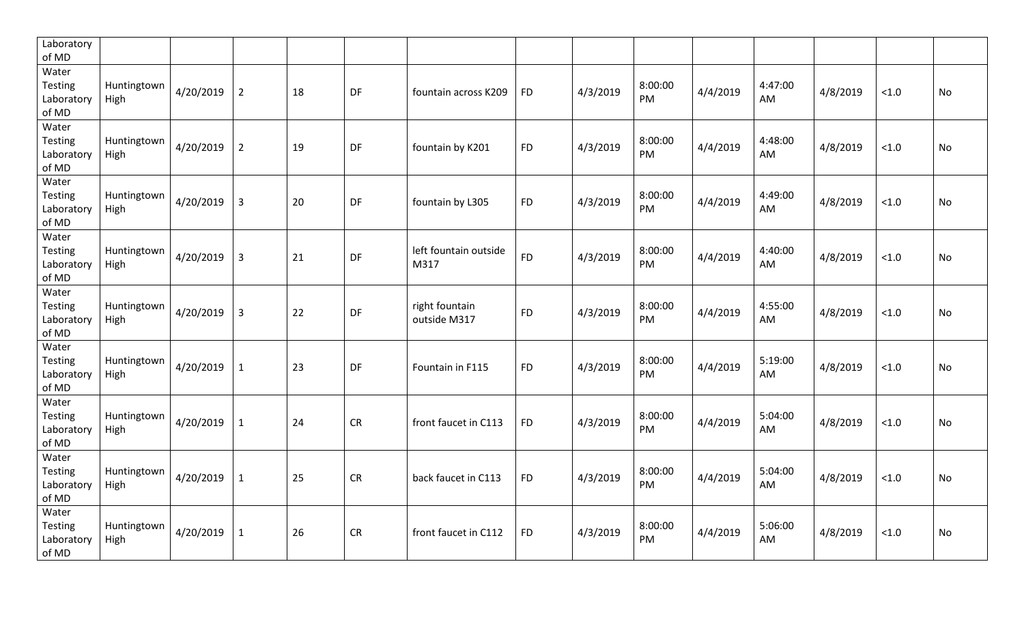| Laboratory<br>of MD                            |                     |           |                |    |           |                                |           |          |               |          |               |          |       |           |
|------------------------------------------------|---------------------|-----------|----------------|----|-----------|--------------------------------|-----------|----------|---------------|----------|---------------|----------|-------|-----------|
| Water<br>Testing<br>Laboratory<br>of MD        | Huntingtown<br>High | 4/20/2019 | $\overline{2}$ | 18 | DF        | fountain across K209           | <b>FD</b> | 4/3/2019 | 8:00:00<br>PM | 4/4/2019 | 4:47:00<br>AM | 4/8/2019 | < 1.0 | No        |
| Water<br><b>Testing</b><br>Laboratory<br>of MD | Huntingtown<br>High | 4/20/2019 | $\overline{2}$ | 19 | DF        | fountain by K201               | <b>FD</b> | 4/3/2019 | 8:00:00<br>PM | 4/4/2019 | 4:48:00<br>AM | 4/8/2019 | < 1.0 | No        |
| Water<br><b>Testing</b><br>Laboratory<br>of MD | Huntingtown<br>High | 4/20/2019 | $\mathsf{3}$   | 20 | DF        | fountain by L305               | <b>FD</b> | 4/3/2019 | 8:00:00<br>PM | 4/4/2019 | 4:49:00<br>AM | 4/8/2019 | < 1.0 | No        |
| Water<br>Testing<br>Laboratory<br>of MD        | Huntingtown<br>High | 4/20/2019 | $\overline{3}$ | 21 | DF        | left fountain outside<br>M317  | <b>FD</b> | 4/3/2019 | 8:00:00<br>PM | 4/4/2019 | 4:40:00<br>AM | 4/8/2019 | < 1.0 | No        |
| Water<br>Testing<br>Laboratory<br>of MD        | Huntingtown<br>High | 4/20/2019 | $\overline{3}$ | 22 | DF        | right fountain<br>outside M317 | <b>FD</b> | 4/3/2019 | 8:00:00<br>PM | 4/4/2019 | 4:55:00<br>AM | 4/8/2019 | < 1.0 | No        |
| Water<br><b>Testing</b><br>Laboratory<br>of MD | Huntingtown<br>High | 4/20/2019 | $\mathbf{1}$   | 23 | DF        | Fountain in F115               | <b>FD</b> | 4/3/2019 | 8:00:00<br>PM | 4/4/2019 | 5:19:00<br>AM | 4/8/2019 | < 1.0 | No        |
| Water<br><b>Testing</b><br>Laboratory<br>of MD | Huntingtown<br>High | 4/20/2019 | $\mathbf{1}$   | 24 | <b>CR</b> | front faucet in C113           | <b>FD</b> | 4/3/2019 | 8:00:00<br>PM | 4/4/2019 | 5:04:00<br>AM | 4/8/2019 | < 1.0 | No        |
| Water<br>Testing<br>Laboratory<br>of MD        | Huntingtown<br>High | 4/20/2019 | $\mathbf 1$    | 25 | <b>CR</b> | back faucet in C113            | <b>FD</b> | 4/3/2019 | 8:00:00<br>PM | 4/4/2019 | 5:04:00<br>AM | 4/8/2019 | < 1.0 | <b>No</b> |
| Water<br>Testing<br>Laboratory<br>of MD        | Huntingtown<br>High | 4/20/2019 | $\mathbf{1}$   | 26 | <b>CR</b> | front faucet in C112           | <b>FD</b> | 4/3/2019 | 8:00:00<br>PM | 4/4/2019 | 5:06:00<br>AM | 4/8/2019 | < 1.0 | No        |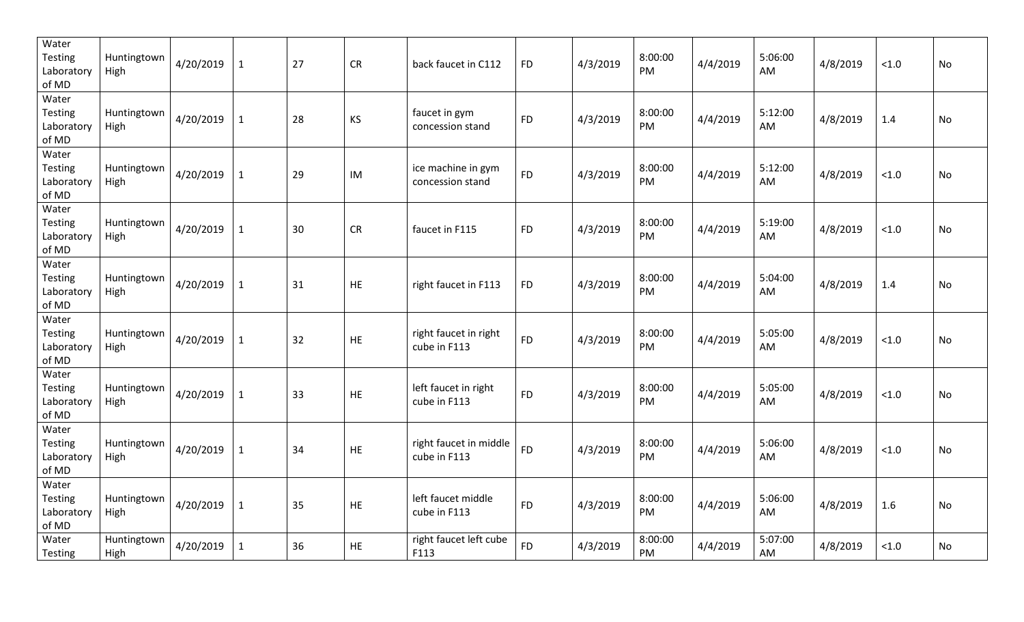| Water<br><b>Testing</b><br>Laboratory<br>of MD | Huntingtown<br>High | 4/20/2019 | $\mathbf{1}$ | 27 | <b>CR</b> | back faucet in C112                    | <b>FD</b> | 4/3/2019 | 8:00:00<br>PM | 4/4/2019 | 5:06:00<br>AM | 4/8/2019 | < 1.0  | No |
|------------------------------------------------|---------------------|-----------|--------------|----|-----------|----------------------------------------|-----------|----------|---------------|----------|---------------|----------|--------|----|
| Water<br>Testing<br>Laboratory<br>of MD        | Huntingtown<br>High | 4/20/2019 | $\mathbf{1}$ | 28 | KS        | faucet in gym<br>concession stand      | <b>FD</b> | 4/3/2019 | 8:00:00<br>PM | 4/4/2019 | 5:12:00<br>AM | 4/8/2019 | 1.4    | No |
| Water<br>Testing<br>Laboratory<br>of MD        | Huntingtown<br>High | 4/20/2019 | $\mathbf{1}$ | 29 | IM        | ice machine in gym<br>concession stand | <b>FD</b> | 4/3/2019 | 8:00:00<br>PM | 4/4/2019 | 5:12:00<br>AM | 4/8/2019 | < 1.0  | No |
| Water<br><b>Testing</b><br>Laboratory<br>of MD | Huntingtown<br>High | 4/20/2019 | $\mathbf{1}$ | 30 | <b>CR</b> | faucet in F115                         | <b>FD</b> | 4/3/2019 | 8:00:00<br>PM | 4/4/2019 | 5:19:00<br>AM | 4/8/2019 | < 1.0  | No |
| Water<br>Testing<br>Laboratory<br>of MD        | Huntingtown<br>High | 4/20/2019 | $\mathbf{1}$ | 31 | <b>HE</b> | right faucet in F113                   | <b>FD</b> | 4/3/2019 | 8:00:00<br>PM | 4/4/2019 | 5:04:00<br>AM | 4/8/2019 | 1.4    | No |
| Water<br>Testing<br>Laboratory<br>of MD        | Huntingtown<br>High | 4/20/2019 | $\mathbf{1}$ | 32 | HE        | right faucet in right<br>cube in F113  | <b>FD</b> | 4/3/2019 | 8:00:00<br>PM | 4/4/2019 | 5:05:00<br>AM | 4/8/2019 | < 1.0  | No |
| Water<br><b>Testing</b><br>Laboratory<br>of MD | Huntingtown<br>High | 4/20/2019 | $\mathbf{1}$ | 33 | HE        | left faucet in right<br>cube in F113   | <b>FD</b> | 4/3/2019 | 8:00:00<br>PM | 4/4/2019 | 5:05:00<br>AM | 4/8/2019 | < 1.0  | No |
| Water<br>Testing<br>Laboratory<br>of MD        | Huntingtown<br>High | 4/20/2019 | $\mathbf{1}$ | 34 | <b>HE</b> | right faucet in middle<br>cube in F113 | <b>FD</b> | 4/3/2019 | 8:00:00<br>PM | 4/4/2019 | 5:06:00<br>AM | 4/8/2019 | < 1.0  | No |
| Water<br><b>Testing</b><br>Laboratory<br>of MD | Huntingtown<br>High | 4/20/2019 | $\mathbf{1}$ | 35 | HE        | left faucet middle<br>cube in F113     | <b>FD</b> | 4/3/2019 | 8:00:00<br>PM | 4/4/2019 | 5:06:00<br>AM | 4/8/2019 | 1.6    | No |
| Water<br>Testing                               | Huntingtown<br>High | 4/20/2019 | $\mathbf{1}$ | 36 | <b>HE</b> | right faucet left cube<br>F113         | <b>FD</b> | 4/3/2019 | 8:00:00<br>PM | 4/4/2019 | 5:07:00<br>AM | 4/8/2019 | $<1.0$ | No |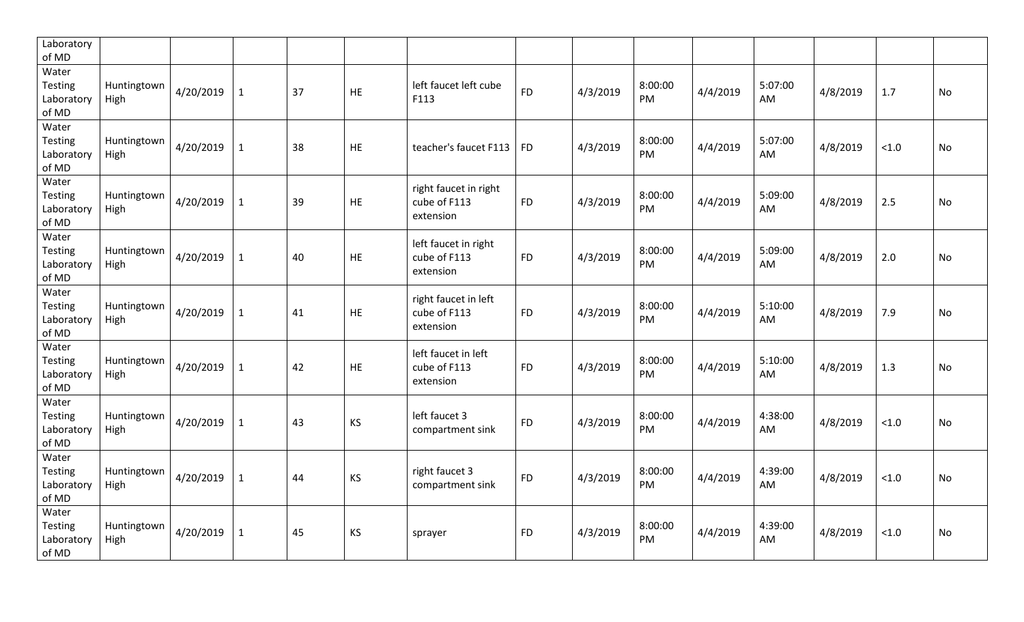| Laboratory<br>of MD                     |                     |           |              |    |           |                                                    |           |          |               |          |               |          |       |           |
|-----------------------------------------|---------------------|-----------|--------------|----|-----------|----------------------------------------------------|-----------|----------|---------------|----------|---------------|----------|-------|-----------|
| Water<br>Testing<br>Laboratory<br>of MD | Huntingtown<br>High | 4/20/2019 | 1            | 37 | HE        | left faucet left cube<br>F113                      | <b>FD</b> | 4/3/2019 | 8:00:00<br>PM | 4/4/2019 | 5:07:00<br>AM | 4/8/2019 | 1.7   | No        |
| Water<br>Testing<br>Laboratory<br>of MD | Huntingtown<br>High | 4/20/2019 | 1            | 38 | <b>HE</b> | teacher's faucet F113                              | <b>FD</b> | 4/3/2019 | 8:00:00<br>PM | 4/4/2019 | 5:07:00<br>AM | 4/8/2019 | < 1.0 | No        |
| Water<br>Testing<br>Laboratory<br>of MD | Huntingtown<br>High | 4/20/2019 | 1            | 39 | HE        | right faucet in right<br>cube of F113<br>extension | <b>FD</b> | 4/3/2019 | 8:00:00<br>PM | 4/4/2019 | 5:09:00<br>AM | 4/8/2019 | 2.5   | No        |
| Water<br>Testing<br>Laboratory<br>of MD | Huntingtown<br>High | 4/20/2019 | 1            | 40 | <b>HE</b> | left faucet in right<br>cube of F113<br>extension  | <b>FD</b> | 4/3/2019 | 8:00:00<br>PM | 4/4/2019 | 5:09:00<br>AM | 4/8/2019 | 2.0   | No        |
| Water<br>Testing<br>Laboratory<br>of MD | Huntingtown<br>High | 4/20/2019 | 1            | 41 | HE.       | right faucet in left<br>cube of F113<br>extension  | <b>FD</b> | 4/3/2019 | 8:00:00<br>PM | 4/4/2019 | 5:10:00<br>AM | 4/8/2019 | 7.9   | No        |
| Water<br>Testing<br>Laboratory<br>of MD | Huntingtown<br>High | 4/20/2019 | $\mathbf{1}$ | 42 | <b>HE</b> | left faucet in left<br>cube of F113<br>extension   | <b>FD</b> | 4/3/2019 | 8:00:00<br>PM | 4/4/2019 | 5:10:00<br>AM | 4/8/2019 | 1.3   | <b>No</b> |
| Water<br>Testing<br>Laboratory<br>of MD | Huntingtown<br>High | 4/20/2019 | $\mathbf{1}$ | 43 | <b>KS</b> | left faucet 3<br>compartment sink                  | <b>FD</b> | 4/3/2019 | 8:00:00<br>PM | 4/4/2019 | 4:38:00<br>AM | 4/8/2019 | < 1.0 | <b>No</b> |
| Water<br>Testing<br>Laboratory<br>of MD | Huntingtown<br>High | 4/20/2019 | 1            | 44 | <b>KS</b> | right faucet 3<br>compartment sink                 | <b>FD</b> | 4/3/2019 | 8:00:00<br>PM | 4/4/2019 | 4:39:00<br>AM | 4/8/2019 | < 1.0 | No        |
| Water<br>Testing<br>Laboratory<br>of MD | Huntingtown<br>High | 4/20/2019 | 1            | 45 | KS        | sprayer                                            | <b>FD</b> | 4/3/2019 | 8:00:00<br>PM | 4/4/2019 | 4:39:00<br>AM | 4/8/2019 | < 1.0 | No        |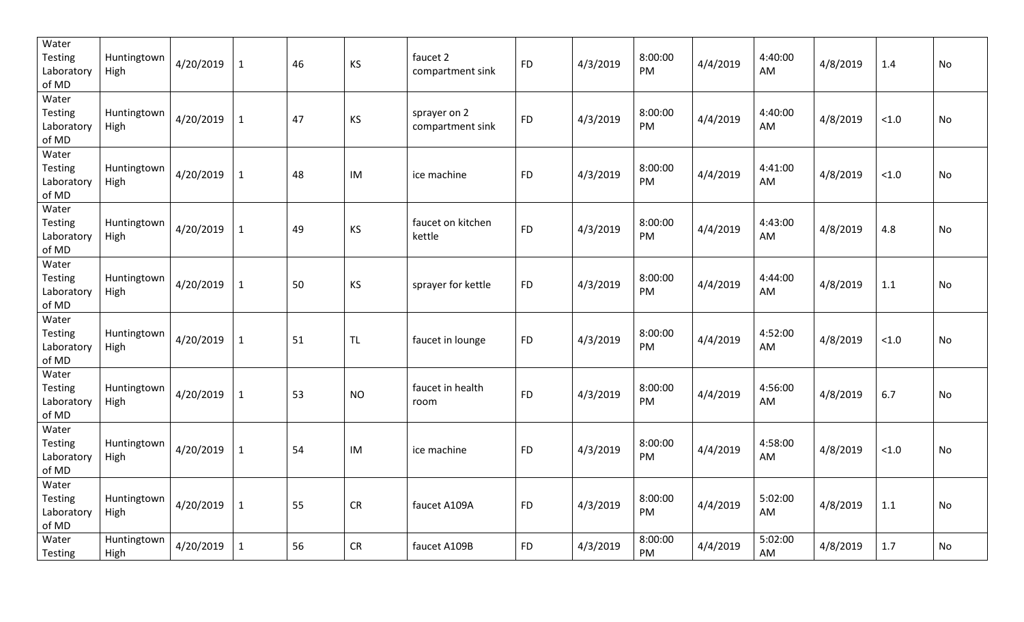| Water<br>Testing<br>Laboratory<br>of MD        | Huntingtown<br>High | 4/20/2019 | $\mathbf{1}$ | 46 | KS        | faucet 2<br>compartment sink     | <b>FD</b>  | 4/3/2019 | 8:00:00<br>PM | 4/4/2019 | 4:40:00<br>AM | 4/8/2019 | 1.4   | No |
|------------------------------------------------|---------------------|-----------|--------------|----|-----------|----------------------------------|------------|----------|---------------|----------|---------------|----------|-------|----|
| Water<br>Testing<br>Laboratory<br>of MD        | Huntingtown<br>High | 4/20/2019 | $\mathbf{1}$ | 47 | KS        | sprayer on 2<br>compartment sink | <b>FD</b>  | 4/3/2019 | 8:00:00<br>PM | 4/4/2019 | 4:40:00<br>AM | 4/8/2019 | < 1.0 | No |
| Water<br><b>Testing</b><br>Laboratory<br>of MD | Huntingtown<br>High | 4/20/2019 | $\mathbf{1}$ | 48 | IM        | ice machine                      | <b>FD</b>  | 4/3/2019 | 8:00:00<br>PM | 4/4/2019 | 4:41:00<br>AM | 4/8/2019 | < 1.0 | No |
| Water<br><b>Testing</b><br>Laboratory<br>of MD | Huntingtown<br>High | 4/20/2019 | $\mathbf{1}$ | 49 | KS        | faucet on kitchen<br>kettle      | ${\sf FD}$ | 4/3/2019 | 8:00:00<br>PM | 4/4/2019 | 4:43:00<br>AM | 4/8/2019 | 4.8   | No |
| Water<br><b>Testing</b><br>Laboratory<br>of MD | Huntingtown<br>High | 4/20/2019 | $\mathbf{1}$ | 50 | <b>KS</b> | sprayer for kettle               | <b>FD</b>  | 4/3/2019 | 8:00:00<br>PM | 4/4/2019 | 4:44:00<br>AM | 4/8/2019 | 1.1   | No |
| Water<br>Testing<br>Laboratory<br>of MD        | Huntingtown<br>High | 4/20/2019 | $\mathbf{1}$ | 51 | <b>TL</b> | faucet in lounge                 | <b>FD</b>  | 4/3/2019 | 8:00:00<br>PM | 4/4/2019 | 4:52:00<br>AM | 4/8/2019 | < 1.0 | No |
| Water<br><b>Testing</b><br>Laboratory<br>of MD | Huntingtown<br>High | 4/20/2019 | $\mathbf{1}$ | 53 | <b>NO</b> | faucet in health<br>room         | <b>FD</b>  | 4/3/2019 | 8:00:00<br>PM | 4/4/2019 | 4:56:00<br>AM | 4/8/2019 | 6.7   | No |
| Water<br><b>Testing</b><br>Laboratory<br>of MD | Huntingtown<br>High | 4/20/2019 | $\mathbf{1}$ | 54 | IM        | ice machine                      | <b>FD</b>  | 4/3/2019 | 8:00:00<br>PM | 4/4/2019 | 4:58:00<br>AM | 4/8/2019 | < 1.0 | No |
| Water<br>Testing<br>Laboratory<br>of MD        | Huntingtown<br>High | 4/20/2019 | $\mathbf{1}$ | 55 | <b>CR</b> | faucet A109A                     | <b>FD</b>  | 4/3/2019 | 8:00:00<br>PM | 4/4/2019 | 5:02:00<br>AM | 4/8/2019 | 1.1   | No |
| Water<br>Testing                               | Huntingtown<br>High | 4/20/2019 | $\mathbf{1}$ | 56 | CR        | faucet A109B                     | <b>FD</b>  | 4/3/2019 | 8:00:00<br>PM | 4/4/2019 | 5:02:00<br>AM | 4/8/2019 | 1.7   | No |